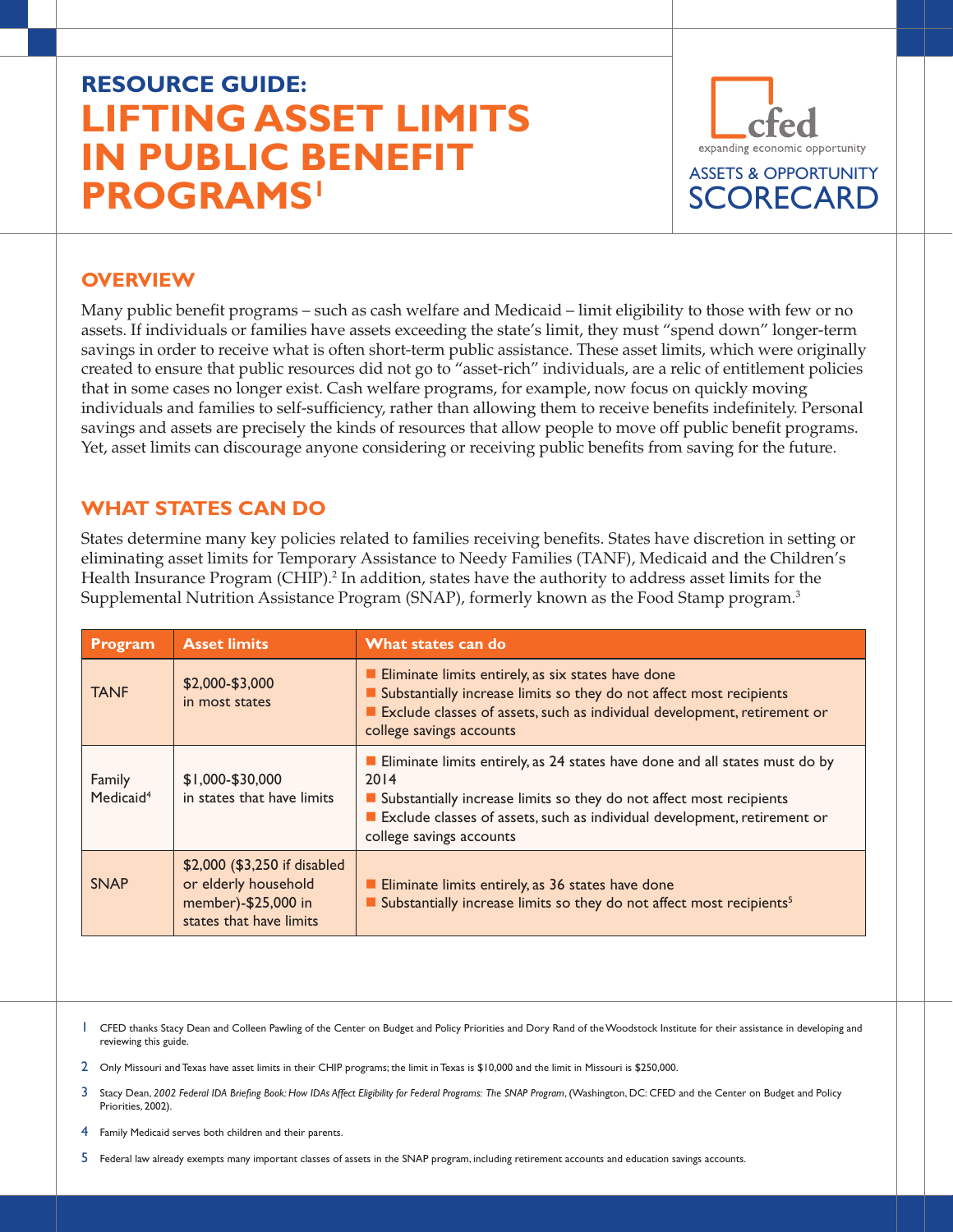# **RESOURCE GUIDE: LIFTING ASSET LIMITS IN PUBLIC BENEFIT PROGRAMS1**



#### **OVERVIEW**

Many public benefit programs – such as cash welfare and Medicaid – limit eligibility to those with few or no assets. If individuals or families have assets exceeding the state's limit, they must "spend down" longer-term savings in order to receive what is often short-term public assistance. These asset limits, which were originally created to ensure that public resources did not go to "asset-rich" individuals, are a relic of entitlement policies that in some cases no longer exist. Cash welfare programs, for example, now focus on quickly moving individuals and families to self-sufficiency, rather than allowing them to receive benefits indefinitely. Personal savings and assets are precisely the kinds of resources that allow people to move off public benefit programs. Yet, asset limits can discourage anyone considering or receiving public benefits from saving for the future.

#### **WHAT STATES CAN DO**

States determine many key policies related to families receiving benefits. States have discretion in setting or eliminating asset limits for Temporary Assistance to Needy Families (TANF), Medicaid and the Children's Health Insurance Program (CHIP).<sup>2</sup> In addition, states have the authority to address asset limits for the Supplemental Nutrition Assistance Program (SNAP), formerly known as the Food Stamp program.3

| Program                         | <b>Asset limits</b>                                                                                    | What states can do                                                                                                                                                                                                                                                 |
|---------------------------------|--------------------------------------------------------------------------------------------------------|--------------------------------------------------------------------------------------------------------------------------------------------------------------------------------------------------------------------------------------------------------------------|
| <b>TANF</b>                     | \$2,000-\$3,000<br>in most states                                                                      | Eliminate limits entirely, as six states have done<br>Substantially increase limits so they do not affect most recipients<br>Exclude classes of assets, such as individual development, retirement or<br>college savings accounts                                  |
| Family<br>Medicaid <sup>4</sup> | \$1,000-\$30,000<br>in states that have limits                                                         | Eliminate limits entirely, as 24 states have done and all states must do by<br>2014<br>Substantially increase limits so they do not affect most recipients<br>Exclude classes of assets, such as individual development, retirement or<br>college savings accounts |
| <b>SNAP</b>                     | \$2,000 (\$3,250 if disabled<br>or elderly household<br>member)-\$25,000 in<br>states that have limits | Eliminate limits entirely, as 36 states have done<br>Substantially increase limits so they do not affect most recipients <sup>5</sup>                                                                                                                              |

<sup>1</sup> CFED thanks Stacy Dean and Colleen Pawling of the Center on Budget and Policy Priorities and Dory Rand of the Woodstock Institute for their assistance in developing and reviewing this guide.

2 Only Missouri and Texas have asset limits in their CHIP programs; the limit in Texas is \$10,000 and the limit in Missouri is \$250,000.

3 Stacy Dean, *2002 Federal IDA Briefing Book: How IDAs Affect Eligibility for Federal Programs: The SNAP Program*, (Washington, DC: CFED and the Center on Budget and Policy Priorities, 2002).

4 Family Medicaid serves both children and their parents.

5 Federal law already exempts many important classes of assets in the SNAP program, including retirement accounts and education savings accounts.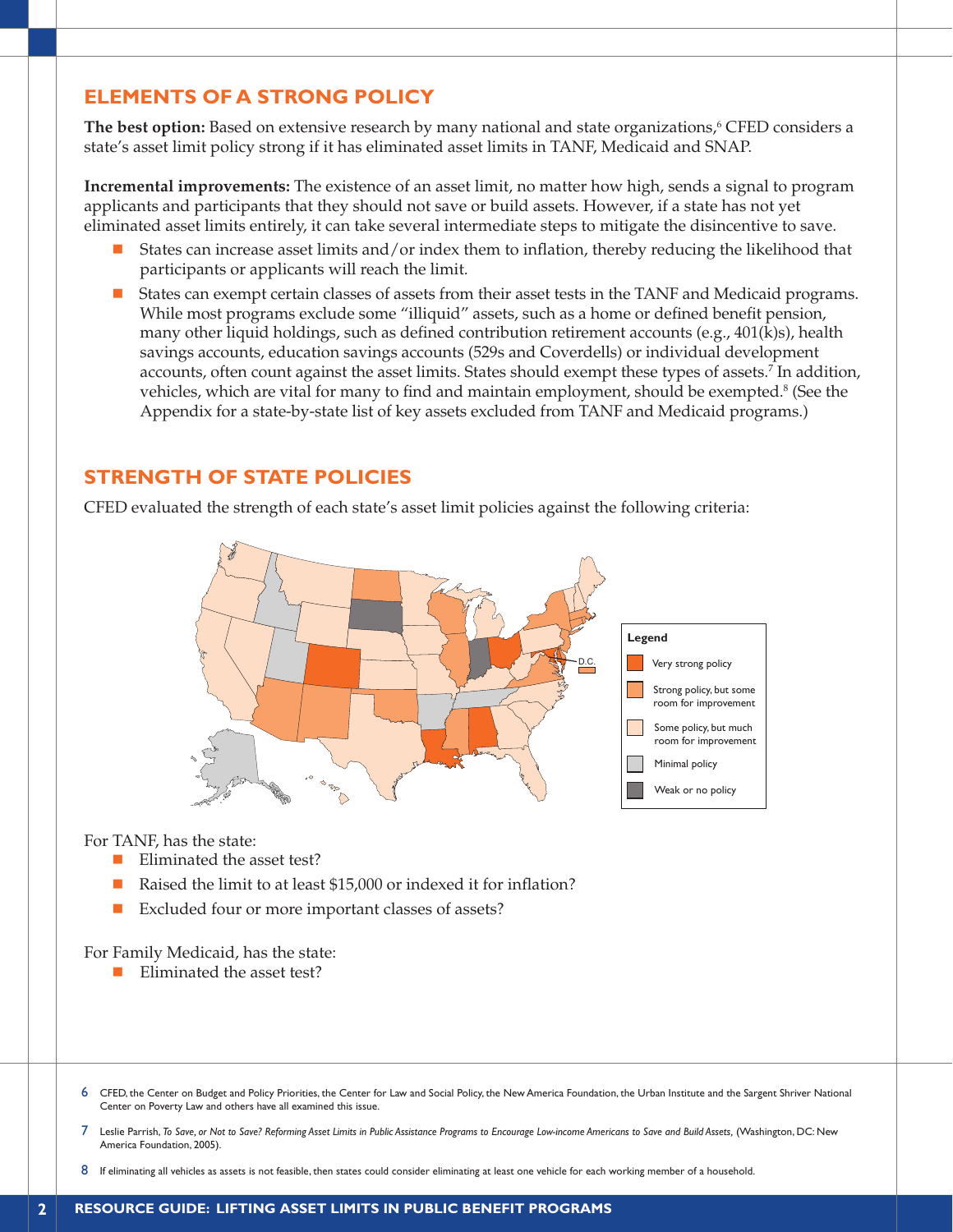## **ELEMENTS OF A STRONG POLICY**

The best option: Based on extensive research by many national and state organizations,<sup>6</sup> CFED considers a state's asset limit policy strong if it has eliminated asset limits in TANF, Medicaid and SNAP.

**Incremental improvements:** The existence of an asset limit, no matter how high, sends a signal to program applicants and participants that they should not save or build assets. However, if a state has not yet eliminated asset limits entirely, it can take several intermediate steps to mitigate the disincentive to save.

- n States can increase asset limits and/or index them to inflation, thereby reducing the likelihood that participants or applicants will reach the limit.
- States can exempt certain classes of assets from their asset tests in the TANF and Medicaid programs. While most programs exclude some "illiquid" assets, such as a home or defined benefit pension, many other liquid holdings, such as defined contribution retirement accounts (e.g., 401(k)s), health savings accounts, education savings accounts (529s and Coverdells) or individual development accounts, often count against the asset limits. States should exempt these types of assets.<sup>7</sup> In addition, vehicles, which are vital for many to find and maintain employment, should be exempted.<sup>8</sup> (See the Appendix for a state-by-state list of key assets excluded from TANF and Medicaid programs.)

## **STRENGTH OF STATE POLICIES**

CFED evaluated the strength of each state's asset limit policies against the following criteria:



For TANF, has the state:

- $\blacksquare$  Eliminated the asset test?
- Raised the limit to at least \$15,000 or indexed it for inflation?
- Excluded four or more important classes of assets?

For Family Medicaid, has the state:

- $\blacksquare$  Eliminated the asset test?
- 6 CFED, the Center on Budget and Policy Priorities, the Center for Law and Social Policy, the New America Foundation, the Urban Institute and the Sargent Shriver National Center on Poverty Law and others have all examined this issue.
- 7 Leslie Parrish, *To Save, or Not to Save? Reforming Asset Limits in Public Assistance Programs to Encourage Low-income Americans to Save and Build Assets,* (Washington, DC: New America Foundation, 2005).
- 8 If eliminating all vehicles as assets is not feasible, then states could consider eliminating at least one vehicle for each working member of a household.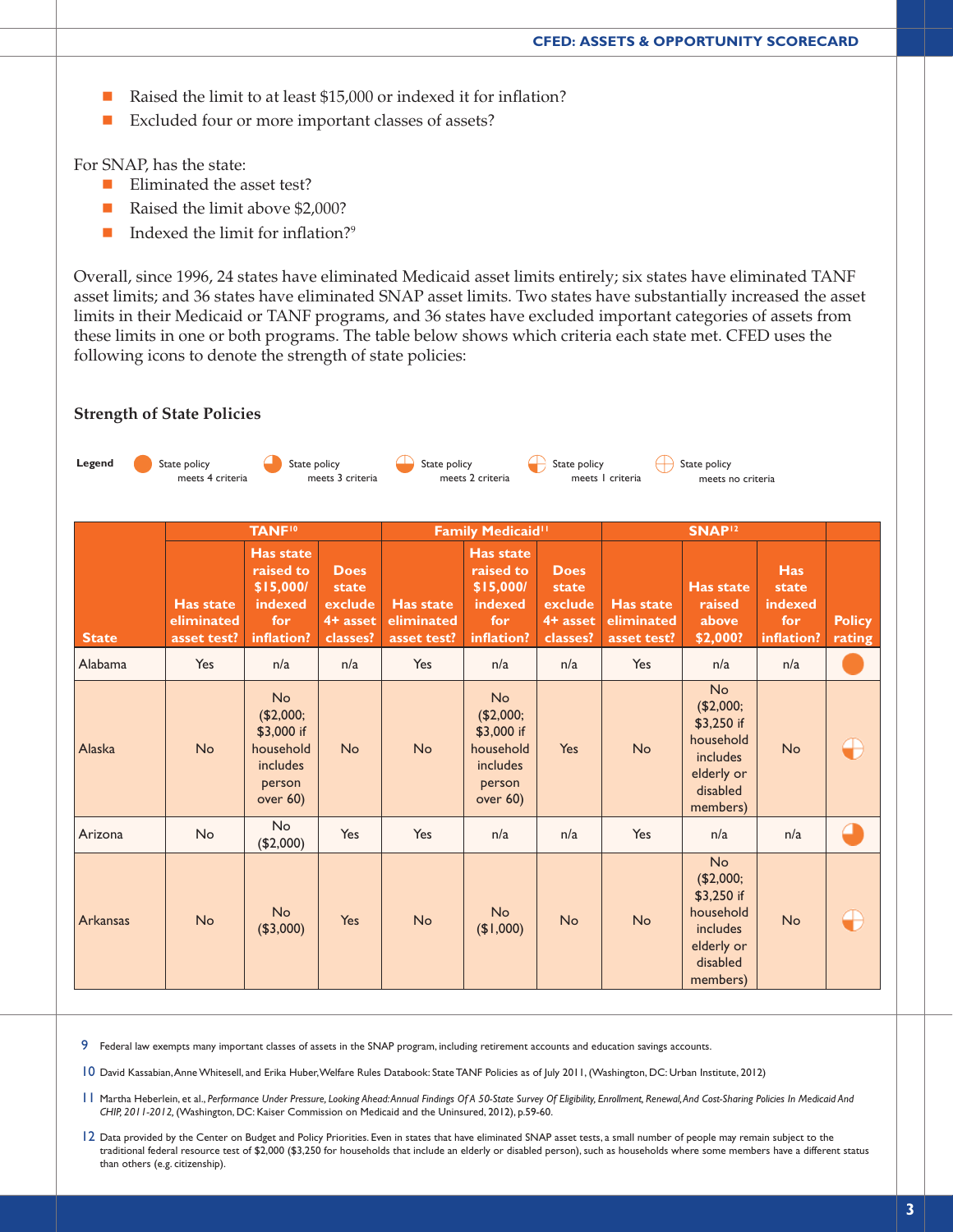- Raised the limit to at least \$15,000 or indexed it for inflation?
- Excluded four or more important classes of assets?

For SNAP, has the state:

**Strength of State Policies**

- $\blacksquare$  Eliminated the asset test?
- Raised the limit above \$2,000?
- $\blacksquare$  Indexed the limit for inflation?<sup>9</sup>

Overall, since 1996, 24 states have eliminated Medicaid asset limits entirely; six states have eliminated TANF asset limits; and 36 states have eliminated SNAP asset limits. Two states have substantially increased the asset limits in their Medicaid or TANF programs, and 36 states have excluded important categories of assets from these limits in one or both programs. The table below shows which criteria each state met. CFED uses the following icons to denote the strength of state policies:



9 Federal law exempts many important classes of assets in the SNAP program, including retirement accounts and education savings accounts.

10 David Kassabian, Anne Whitesell, and Erika Huber, Welfare Rules Databook: State TANF Policies as of July 2011, (Washington, DC: Urban Institute, 2012)

- 11 Martha Heberlein, et al., *Performance Under Pressure, Looking Ahead: Annual Findings Of A 50-State Survey Of Eligibility, Enrollment, Renewal, And Cost-Sharing Policies In Medicaid And CHIP, 2011-2012,* (Washington, DC: Kaiser Commission on Medicaid and the Uninsured, 2012), p.59-60.
- 12 Data provided by the Center on Budget and Policy Priorities. Even in states that have eliminated SNAP asset tests, a small number of people may remain subject to the traditional federal resource test of \$2,000 (\$3,250 for households that include an elderly or disabled person), such as households where some members have a different status than others (e.g. citizenship).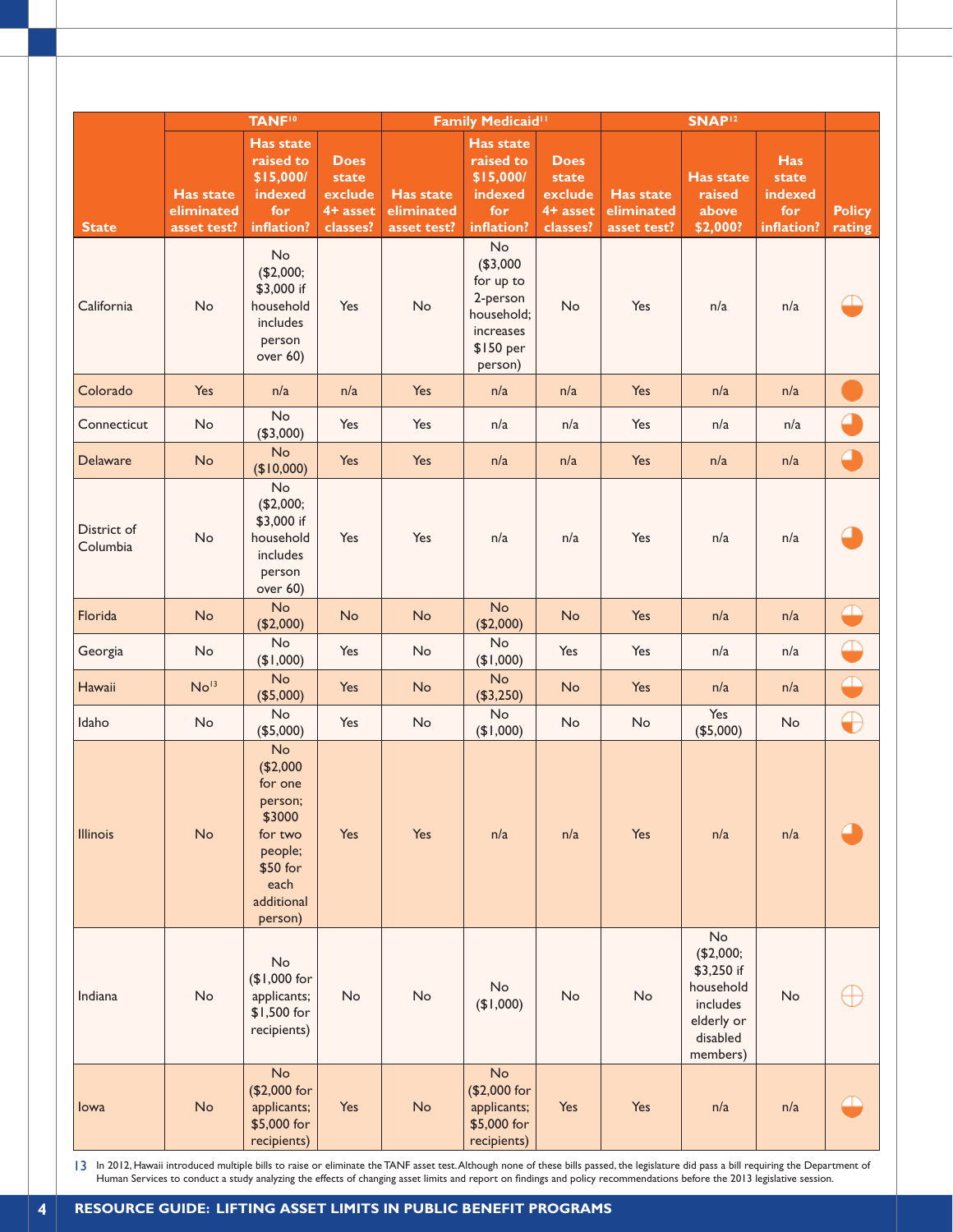|                         | <b>TANF<sup>10</sup></b>                      |                                                                                                                   |                                                           | Family Medicaid <sup>11</sup>                 |                                                                                            | SNAP <sup>12</sup>                                        |                                               |                                                                                              |                                                     |                         |
|-------------------------|-----------------------------------------------|-------------------------------------------------------------------------------------------------------------------|-----------------------------------------------------------|-----------------------------------------------|--------------------------------------------------------------------------------------------|-----------------------------------------------------------|-----------------------------------------------|----------------------------------------------------------------------------------------------|-----------------------------------------------------|-------------------------|
| <b>State</b>            | <b>Has state</b><br>eliminated<br>asset test? | <b>Has state</b><br>raised to<br>\$15,000/<br>indexed<br>for<br>inflation?                                        | <b>Does</b><br>state<br>exclude<br>$4+$ asset<br>classes? | <b>Has state</b><br>eliminated<br>asset test? | <b>Has state</b><br>raised to<br>\$15,000/<br>indexed<br>for<br>inflation?                 | <b>Does</b><br>state<br>exclude<br>$4+$ asset<br>classes? | <b>Has state</b><br>eliminated<br>asset test? | <b>Has state</b><br>raised<br>above<br>\$2,000?                                              | <b>Has</b><br>state<br>indexed<br>for<br>inflation? | <b>Policy</b><br>rating |
| California              | No                                            | No<br>(\$2,000;<br>\$3,000 if<br>household<br>includes<br>person<br>over 60)                                      | Yes                                                       | No                                            | No<br>(\$3,000<br>for up to<br>2-person<br>household;<br>increases<br>\$150 per<br>person) | No                                                        | Yes                                           | n/a                                                                                          | n/a                                                 |                         |
| Colorado                | Yes                                           | n/a                                                                                                               | n/a                                                       | Yes                                           | n/a                                                                                        | n/a                                                       | Yes                                           | n/a                                                                                          | n/a                                                 |                         |
| Connecticut             | No                                            | No<br>(\$3,000)                                                                                                   | Yes                                                       | Yes                                           | n/a                                                                                        | n/a                                                       | Yes                                           | n/a                                                                                          | n/a                                                 |                         |
| Delaware                | No                                            | No<br>(\$10,000)                                                                                                  | Yes                                                       | Yes                                           | n/a                                                                                        | n/a                                                       | Yes                                           | n/a                                                                                          | n/a                                                 | Œ                       |
| District of<br>Columbia | No                                            | No<br>(\$2,000;<br>\$3,000 if<br>household<br>includes<br>person<br>over 60)                                      | Yes                                                       | Yes                                           | n/a                                                                                        | n/a                                                       | Yes                                           | n/a                                                                                          | n/a                                                 |                         |
| Florida                 | No                                            | <b>No</b><br>(\$2,000)                                                                                            | No                                                        | No                                            | <b>No</b><br>(\$2,000)                                                                     | No                                                        | Yes                                           | n/a                                                                                          | n/a                                                 | ⊞                       |
| Georgia                 | No                                            | No<br>(000, 14)                                                                                                   | Yes                                                       | <b>No</b>                                     | No<br>(900, 14)                                                                            | Yes                                                       | Yes                                           | n/a                                                                                          | n/a                                                 |                         |
| Hawaii                  | No <sup>13</sup>                              | No<br>(\$5,000)                                                                                                   | Yes                                                       | <b>No</b>                                     | <b>No</b><br>(\$3,250)                                                                     | <b>No</b>                                                 | Yes                                           | n/a                                                                                          | n/a                                                 | ╩                       |
| Idaho                   | No                                            | No<br>(\$5,000)                                                                                                   | Yes                                                       | <b>No</b>                                     | No<br>(\$1,000)                                                                            | No                                                        | No                                            | Yes<br>(\$5,000)                                                                             | No                                                  | ⊕                       |
| <b>Illinois</b>         | No                                            | No<br>(\$2,000<br>for one<br>person;<br>\$3000<br>for two<br>people;<br>\$50 for<br>each<br>additional<br>person) | Yes                                                       | Yes                                           | n/a                                                                                        | n/a                                                       | Yes                                           | n/a                                                                                          | n/a                                                 |                         |
| Indiana                 | No                                            | No<br>(\$1,000 for<br>applicants;<br>\$1,500 for<br>recipients)                                                   | $\mathsf{No}$                                             | No                                            | No<br>(91,000)                                                                             | No                                                        | No                                            | No<br>(\$2,000;<br>\$3,250 if<br>household<br>includes<br>elderly or<br>disabled<br>members) | No                                                  |                         |
| lowa                    | No                                            | No<br>(\$2,000 for<br>applicants;<br>\$5,000 for<br>recipients)                                                   | Yes                                                       | No                                            | No<br>(\$2,000 for<br>applicants;<br>\$5,000 for<br>recipients)                            | Yes                                                       | Yes                                           | n/a                                                                                          | n/a                                                 |                         |

In 2012, Hawaii introduced multiple bills to raise or eliminate the TANF asset test. Although none of these bills passed, the legislature did pass a bill requiring the Department of 13 In 2012, Hawaii introduced multiple bills to raise or eliminate the TANF asset test. Although none of these bills passed, the legislature did pass a bill requiring the Depart on findings and policy recommendations befor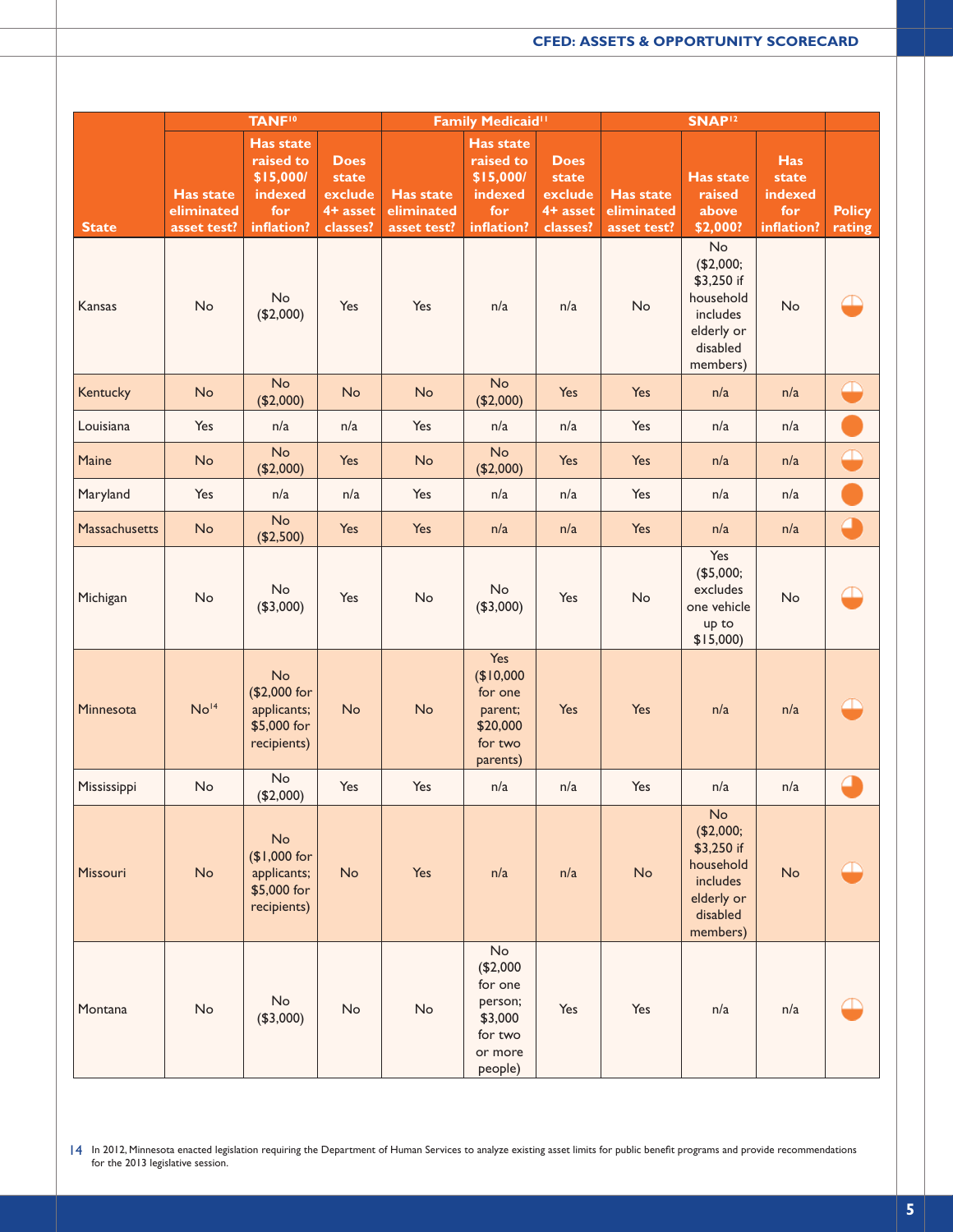|               |                                               | <b>TANF<sup>10</sup></b>                                                   |                                                         |                                               | Family Medicaid <sup>11</sup>                                                    |                                                         |                                               | SNAP <sup>12</sup>                                                                           |                                                     |                         |
|---------------|-----------------------------------------------|----------------------------------------------------------------------------|---------------------------------------------------------|-----------------------------------------------|----------------------------------------------------------------------------------|---------------------------------------------------------|-----------------------------------------------|----------------------------------------------------------------------------------------------|-----------------------------------------------------|-------------------------|
| <b>State</b>  | <b>Has state</b><br>eliminated<br>asset test? | <b>Has state</b><br>raised to<br>\$15,000/<br>indexed<br>for<br>inflation? | <b>Does</b><br>state<br>exclude<br>4+ asset<br>classes? | <b>Has state</b><br>eliminated<br>asset test? | Has state<br>raised to<br>\$15,000/<br>indexed<br>for<br>inflation?              | <b>Does</b><br>state<br>exclude<br>4+ asset<br>classes? | <b>Has state</b><br>eliminated<br>asset test? | <b>Has state</b><br>raised<br>above<br>\$2,000?                                              | <b>Has</b><br>state<br>indexed<br>for<br>inflation? | <b>Policy</b><br>rating |
| Kansas        | No                                            | No<br>(\$2,000)                                                            | Yes                                                     | Yes                                           | n/a                                                                              | n/a                                                     | No                                            | No<br>(\$2,000;<br>\$3,250 if<br>household<br>includes<br>elderly or<br>disabled<br>members) | No                                                  |                         |
| Kentucky      | No                                            | <b>No</b><br>(\$2,000)                                                     | No                                                      | <b>No</b>                                     | <b>No</b><br>(\$2,000)                                                           | Yes                                                     | Yes                                           | n/a                                                                                          | n/a                                                 | ⊕                       |
| Louisiana     | Yes                                           | n/a                                                                        | n/a                                                     | Yes                                           | n/a                                                                              | n/a                                                     | Yes                                           | n/a                                                                                          | n/a                                                 |                         |
| Maine         | <b>No</b>                                     | No<br>(\$2,000)                                                            | Yes                                                     | <b>No</b>                                     | No<br>(\$2,000)                                                                  | Yes                                                     | Yes                                           | n/a                                                                                          | n/a                                                 | ⊕                       |
| Maryland      | Yes                                           | n/a                                                                        | n/a                                                     | Yes                                           | n/a                                                                              | n/a                                                     | Yes                                           | n/a                                                                                          | n/a                                                 |                         |
| Massachusetts | No                                            | No<br>(\$2,500)                                                            | Yes                                                     | Yes                                           | n/a                                                                              | n/a                                                     | Yes                                           | n/a                                                                                          | n/a                                                 | C                       |
| Michigan      | No                                            | No<br>(\$3,000)                                                            | Yes                                                     | No                                            | No<br>(\$3,000)                                                                  | Yes                                                     | No                                            | Yes<br>(\$5,000;<br>excludes<br>one vehicle<br>up to<br>$$15,000$ )                          | No                                                  |                         |
| Minnesota     | No <sup>14</sup>                              | No<br>(\$2,000 for<br>applicants;<br>\$5,000 for<br>recipients)            | No                                                      | <b>No</b>                                     | Yes<br>\$10,000<br>for one<br>parent;<br>\$20,000<br>for two<br>parents)         | Yes                                                     | Yes                                           | n/a                                                                                          | n/a                                                 | <u> 10</u>              |
| Mississippi   | <b>No</b>                                     | No<br>(\$2,000)                                                            | Yes                                                     | Yes                                           | n/a                                                                              | n/a                                                     | Yes                                           | n/a                                                                                          | n/a                                                 | e                       |
| Missouri      | No                                            | No<br>(\$1,000 for<br>applicants;<br>\$5,000 for<br>recipients)            | No                                                      | Yes                                           | n/a                                                                              | n/a                                                     | No                                            | No<br>(\$2,000;<br>\$3,250 if<br>household<br>includes<br>elderly or<br>disabled<br>members) | No                                                  |                         |
| Montana       | No                                            | No<br>(\$3,000)                                                            | No                                                      | No                                            | No<br>(\$2,000<br>for one<br>person;<br>\$3,000<br>for two<br>or more<br>people) | Yes                                                     | Yes                                           | n/a                                                                                          | n/a                                                 |                         |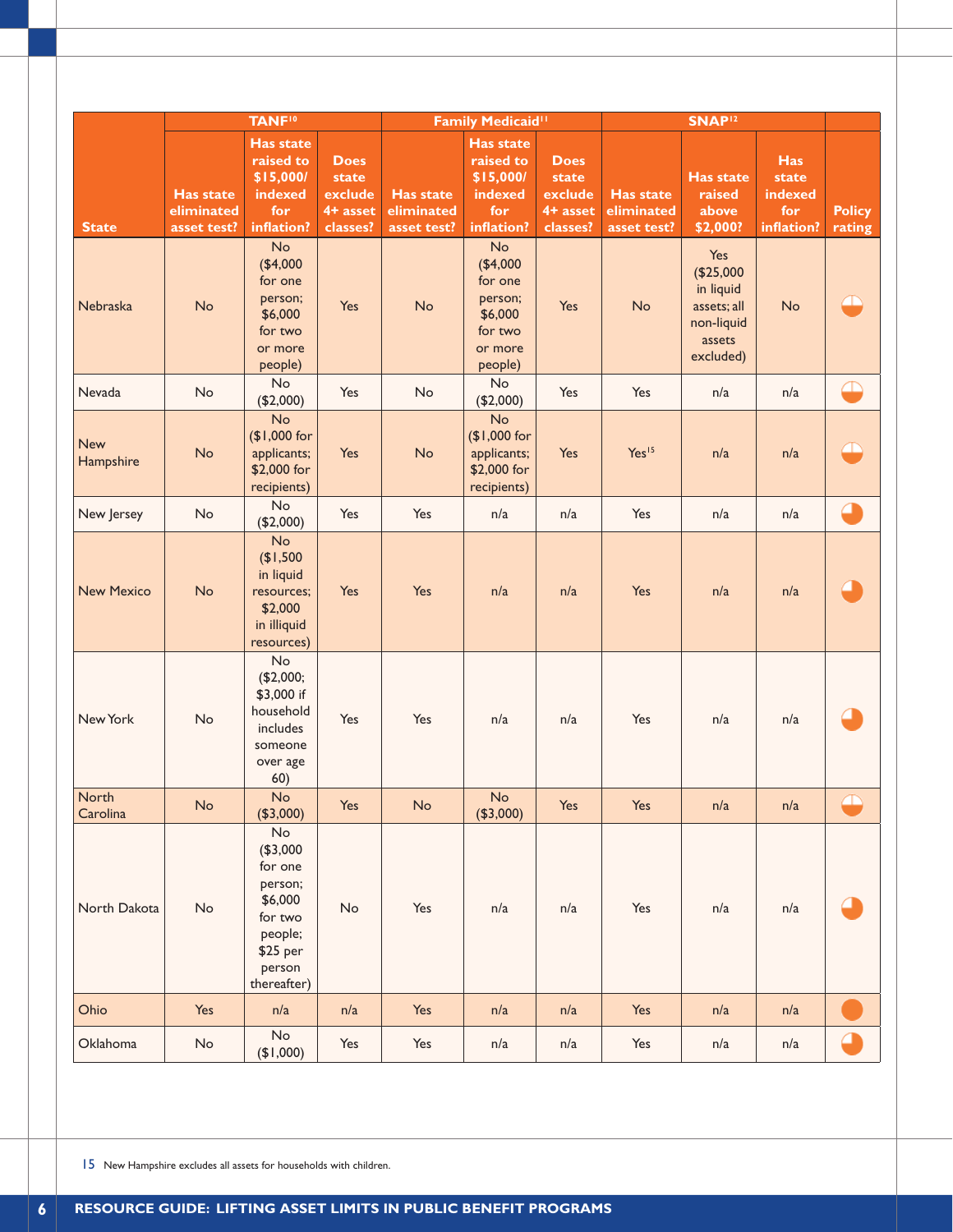|                         |                                               | <b>TANF<sup>10</sup></b>                                                                                   |                                                           |                                               | <b>Family Medicaid<sup>11</sup></b>                                              |                                                            |                                               | SNAP <sup>12</sup>                                                                |                                                     |                         |
|-------------------------|-----------------------------------------------|------------------------------------------------------------------------------------------------------------|-----------------------------------------------------------|-----------------------------------------------|----------------------------------------------------------------------------------|------------------------------------------------------------|-----------------------------------------------|-----------------------------------------------------------------------------------|-----------------------------------------------------|-------------------------|
| <b>State</b>            | <b>Has state</b><br>eliminated<br>asset test? | <b>Has state</b><br>raised to<br>\$15,000/<br>indexed<br>for<br>inflation?                                 | <b>Does</b><br>state<br>exclude<br>$4+$ asset<br>classes? | <b>Has state</b><br>eliminated<br>asset test? | <b>Has state</b><br>raised to<br>\$15,000/<br>indexed<br>for<br>inflation?       | <b>Does</b><br>state<br>exclude<br>$4 + asset$<br>classes? | <b>Has state</b><br>eliminated<br>asset test? | <b>Has state</b><br>raised<br>above<br>\$2,000?                                   | <b>Has</b><br>state<br>indexed<br>for<br>inflation? | <b>Policy</b><br>rating |
| Nebraska                | No                                            | No<br>(\$4,000<br>for one<br>person;<br>\$6,000<br>for two<br>or more<br>people)                           | Yes                                                       | No                                            | No<br>(\$4,000<br>for one<br>person;<br>\$6,000<br>for two<br>or more<br>people) | Yes                                                        | No                                            | Yes<br>(\$25,000<br>in liquid<br>assets; all<br>non-liquid<br>assets<br>excluded) | <b>No</b>                                           |                         |
| Nevada                  | No                                            | No<br>(\$2,000)                                                                                            | Yes                                                       | No                                            | No<br>(\$2,000)                                                                  | Yes                                                        | Yes                                           | n/a                                                                               | n/a                                                 | ₽                       |
| <b>New</b><br>Hampshire | No                                            | No<br>(\$1,000 for<br>applicants;<br>\$2,000 for<br>recipients)                                            | Yes                                                       | <b>No</b>                                     | No<br>(\$1,000 for<br>applicants;<br>\$2,000 for<br>recipients)                  | Yes                                                        | Yes <sup>15</sup>                             | n/a                                                                               | n/a                                                 |                         |
| New Jersey              | No                                            | No<br>(\$2,000)                                                                                            | Yes                                                       | Yes                                           | n/a                                                                              | n/a                                                        | Yes                                           | n/a                                                                               | n/a                                                 | O                       |
| <b>New Mexico</b>       | No                                            | No<br>(\$1,500<br>in liquid<br>resources;<br>\$2,000<br>in illiquid<br>resources)                          | Yes                                                       | Yes                                           | n/a                                                                              | n/a                                                        | Yes                                           | n/a                                                                               | n/a                                                 |                         |
| New York                | No                                            | No<br>(\$2,000;<br>\$3,000 if<br>household<br>includes<br>someone<br>over age<br>60)                       | Yes                                                       | Yes                                           | n/a                                                                              | n/a                                                        | Yes                                           | n/a                                                                               | n/a                                                 |                         |
| North<br>Carolina       | No                                            | No<br>(\$3,000)                                                                                            | Yes                                                       | No                                            | No<br>(\$3,000)                                                                  | Yes                                                        | Yes                                           | n/a                                                                               | n/a                                                 |                         |
| North Dakota            | No                                            | No<br>(\$3,000<br>for one<br>person;<br>\$6,000<br>for two<br>people;<br>\$25 per<br>person<br>thereafter) | No                                                        | Yes                                           | n/a                                                                              | n/a                                                        | Yes                                           | n/a                                                                               | n/a                                                 |                         |
| Ohio                    | Yes                                           | n/a                                                                                                        | n/a                                                       | Yes                                           | n/a                                                                              | n/a                                                        | Yes                                           | n/a                                                                               | n/a                                                 |                         |
| Oklahoma                | $\mathsf{No}$                                 | No<br>(900, 14)                                                                                            | Yes                                                       | Yes                                           | n/a                                                                              | n/a                                                        | Yes                                           | n/a                                                                               | n/a                                                 |                         |

15 New Hampshire excludes all assets for households with children.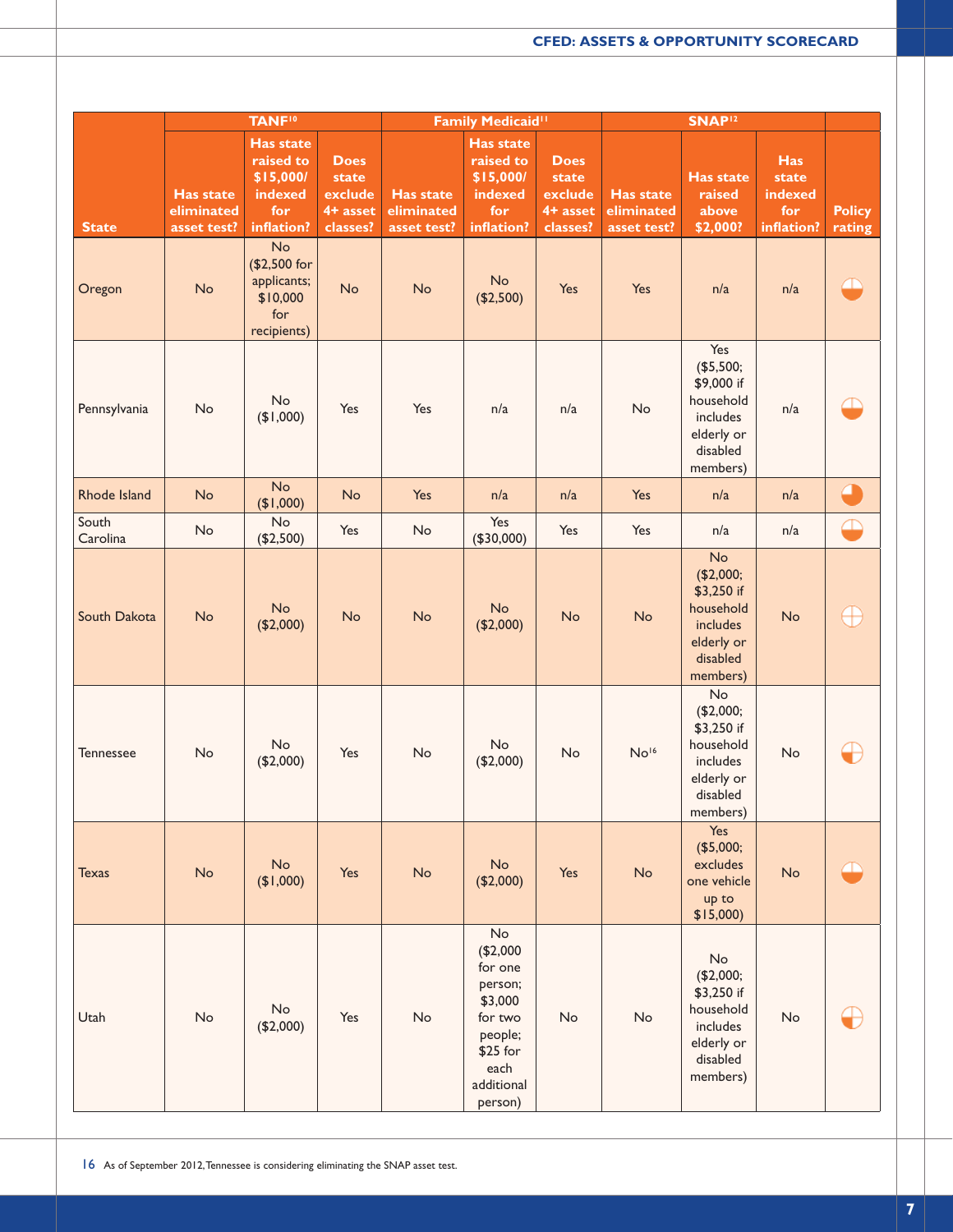|                   |                                               | <b>TANF<sup>10</sup></b>                                                   |                                                         |                                               | Family Medicaid <sup>11</sup>                                                                                      |                                                           |                                               | SNAP <sup>12</sup>                                                                            |                                                     |                         |
|-------------------|-----------------------------------------------|----------------------------------------------------------------------------|---------------------------------------------------------|-----------------------------------------------|--------------------------------------------------------------------------------------------------------------------|-----------------------------------------------------------|-----------------------------------------------|-----------------------------------------------------------------------------------------------|-----------------------------------------------------|-------------------------|
| <b>State</b>      | <b>Has state</b><br>eliminated<br>asset test? | <b>Has state</b><br>raised to<br>\$15,000/<br>indexed<br>for<br>inflation? | <b>Does</b><br>state<br>exclude<br>4+ asset<br>classes? | <b>Has state</b><br>eliminated<br>asset test? | Has state<br>raised to<br>\$15,000/<br>indexed<br>for<br>inflation?                                                | <b>Does</b><br>state<br>exclude<br>$4+$ asset<br>classes? | <b>Has state</b><br>eliminated<br>asset test? | <b>Has state</b><br>raised<br>above<br>\$2,000?                                               | <b>Has</b><br>state<br>indexed<br>for<br>inflation? | <b>Policy</b><br>rating |
| Oregon            | No                                            | No<br>(\$2,500 for<br>applicants;<br>\$10,000<br>for<br>recipients)        | No                                                      | No                                            | No<br>(\$2,500)                                                                                                    | Yes                                                       | Yes                                           | n/a                                                                                           | n/a                                                 | <u> 11</u>              |
| Pennsylvania      | No                                            | No<br>(900, 14)                                                            | Yes                                                     | Yes                                           | n/a                                                                                                                | n/a                                                       | No                                            | Yes<br>(\$5,500;<br>\$9,000 if<br>household<br>includes<br>elderly or<br>disabled<br>members) | n/a                                                 |                         |
| Rhode Island      | No                                            | No<br>(91,000)                                                             | No                                                      | Yes                                           | n/a                                                                                                                | n/a                                                       | Yes                                           | n/a                                                                                           | n/a                                                 | $\epsilon$              |
| South<br>Carolina | No                                            | No<br>(\$2,500)                                                            | Yes                                                     | No                                            | Yes<br>(\$30,000)                                                                                                  | Yes                                                       | Yes                                           | n/a                                                                                           | n/a                                                 | Œ                       |
| South Dakota      | No                                            | <b>No</b><br>(\$2,000)                                                     | No                                                      | No                                            | No<br>(\$2,000)                                                                                                    | No                                                        | No                                            | No<br>(\$2,000;<br>\$3,250 if<br>household<br>includes<br>elderly or<br>disabled<br>members)  | No                                                  | Œ                       |
| <b>Tennessee</b>  | No                                            | No<br>(\$2,000)                                                            | Yes                                                     | No                                            | No<br>(\$2,000)                                                                                                    | No                                                        | No <sup>16</sup>                              | No<br>(\$2,000;<br>\$3,250 if<br>household<br>includes<br>elderly or<br>disabled<br>members)  | No                                                  | Œ                       |
| <b>Texas</b>      | No                                            | No<br>(900, 14)                                                            | Yes                                                     | No                                            | No<br>(\$2,000)                                                                                                    | Yes                                                       | No                                            | Yes<br>(\$5,000;<br>excludes<br>one vehicle<br>up to<br>\$15,000                              | No                                                  | Œ                       |
| Utah              | No                                            | No<br>(\$2,000)                                                            | Yes                                                     | No                                            | No<br>(\$2,000<br>for one<br>person;<br>\$3,000<br>for two<br>people;<br>\$25 for<br>each<br>additional<br>person) | No                                                        | No                                            | No<br>(\$2,000;<br>\$3,250 if<br>household<br>includes<br>elderly or<br>disabled<br>members)  | No                                                  | Œ                       |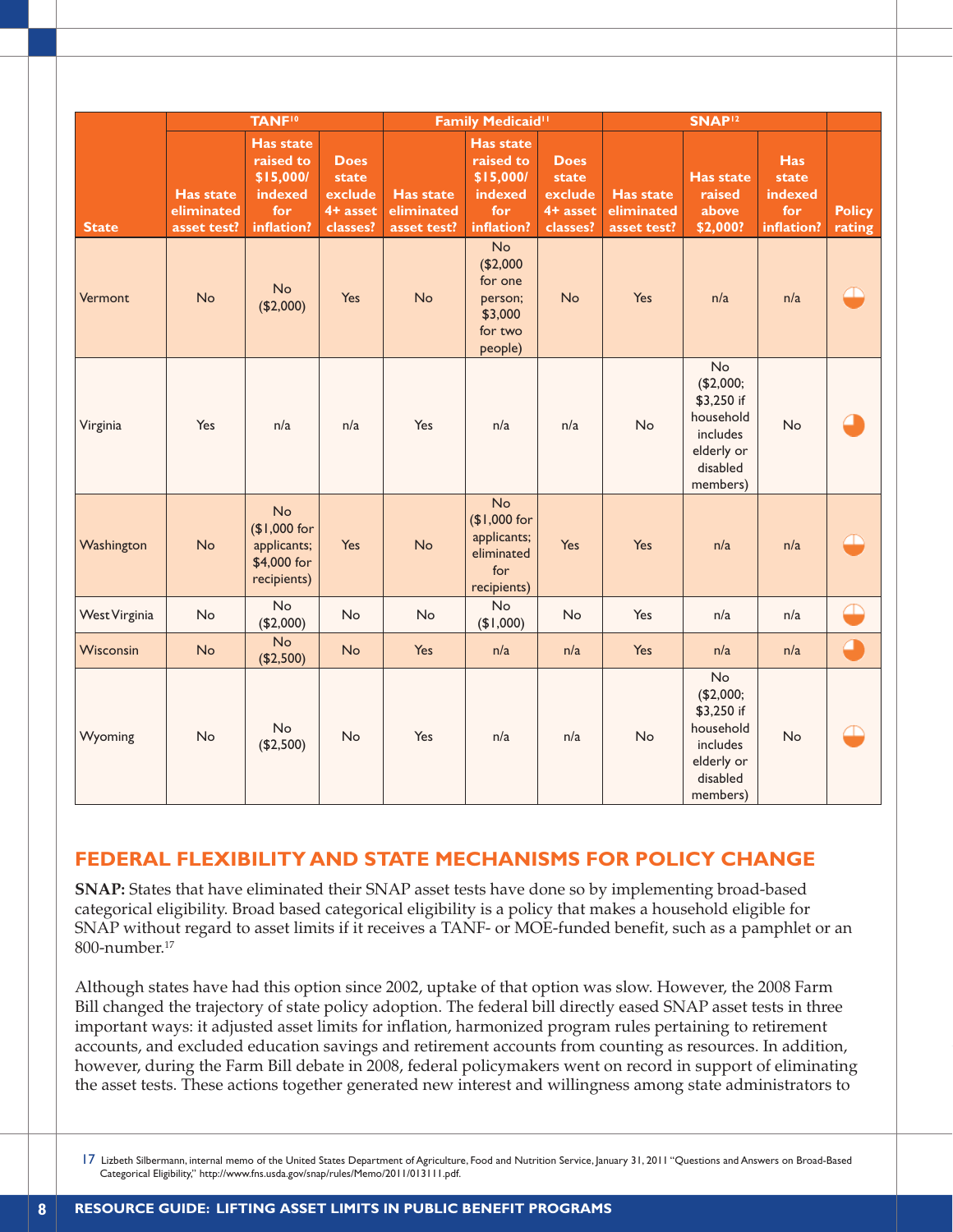|                      |                                               | <b>TANF<sup>10</sup></b>                                               |                                                         |                                               | Family Medicaid <sup>11</sup>                                         |                                                         |                                               | SNAP <sup>12</sup>                                                                           |                                                     |                         |
|----------------------|-----------------------------------------------|------------------------------------------------------------------------|---------------------------------------------------------|-----------------------------------------------|-----------------------------------------------------------------------|---------------------------------------------------------|-----------------------------------------------|----------------------------------------------------------------------------------------------|-----------------------------------------------------|-------------------------|
| <b>State</b>         | <b>Has state</b><br>eliminated<br>asset test? | Has state<br>raised to<br>\$15,000/<br>indexed<br>for<br>inflation?    | <b>Does</b><br>state<br>exclude<br>4+ asset<br>classes? | <b>Has state</b><br>eliminated<br>asset test? | Has state<br>raised to<br>\$15,000/<br>indexed<br>for<br>inflation?   | <b>Does</b><br>state<br>exclude<br>4+ asset<br>classes? | <b>Has state</b><br>eliminated<br>asset test? | <b>Has state</b><br>raised<br>above<br>\$2,000?                                              | <b>Has</b><br>state<br>indexed<br>for<br>inflation? | <b>Policy</b><br>rating |
| Vermont              | No                                            | <b>No</b><br>(\$2,000)                                                 | Yes                                                     | No                                            | No<br>(\$2,000<br>for one<br>person;<br>\$3,000<br>for two<br>people) | <b>No</b>                                               | Yes                                           | n/a                                                                                          | n/a                                                 | <u> 10</u>              |
| Virginia             | Yes                                           | n/a                                                                    | n/a                                                     | Yes                                           | n/a                                                                   | n/a                                                     | No                                            | No<br>(\$2,000;<br>\$3,250 if<br>household<br>includes<br>elderly or<br>disabled<br>members) | <b>No</b>                                           |                         |
| Washington           | No                                            | <b>No</b><br>(\$1,000 for<br>applicants;<br>\$4,000 for<br>recipients) | Yes                                                     | No                                            | No<br>(\$1,000 for<br>applicants;<br>eliminated<br>for<br>recipients) | Yes                                                     | Yes                                           | n/a                                                                                          | n/a                                                 |                         |
| <b>West Virginia</b> | <b>No</b>                                     | <b>No</b><br>(\$2,000)                                                 | <b>No</b>                                               | <b>No</b>                                     | No<br>(900, 14)                                                       | <b>No</b>                                               | Yes                                           | n/a                                                                                          | n/a                                                 |                         |
| Wisconsin            | No                                            | No<br>(\$2,500)                                                        | <b>No</b>                                               | Yes                                           | n/a                                                                   | n/a                                                     | Yes                                           | n/a                                                                                          | n/a                                                 | ℴ                       |
| Wyoming              | <b>No</b>                                     | No<br>(\$2,500)                                                        | No                                                      | Yes                                           | n/a                                                                   | n/a                                                     | <b>No</b>                                     | No<br>(\$2,000;<br>\$3,250 if<br>household<br>includes<br>elderly or<br>disabled<br>members) | <b>No</b>                                           |                         |

## **FEDERAL FLEXIBILITY AND STATE MECHANISMS FOR POLICY CHANGE**

**SNAP:** States that have eliminated their SNAP asset tests have done so by implementing broad-based categorical eligibility. Broad based categorical eligibility is a policy that makes a household eligible for SNAP without regard to asset limits if it receives a TANF- or MOE-funded benefit, such as a pamphlet or an 800-number.17

Although states have had this option since 2002, uptake of that option was slow. However, the 2008 Farm Bill changed the trajectory of state policy adoption. The federal bill directly eased SNAP asset tests in three important ways: it adjusted asset limits for inflation, harmonized program rules pertaining to retirement accounts, and excluded education savings and retirement accounts from counting as resources. In addition, however, during the Farm Bill debate in 2008, federal policymakers went on record in support of eliminating the asset tests. These actions together generated new interest and willingness among state administrators to

17 Lizbeth Silbermann, internal memo of the United States Department of Agriculture, Food and Nutrition Service, January 31, 2011 "Questions and Answers on Broad-Based Categorical Eligibility," http://www.fns.usda.gov/snap/rules/Memo/2011/013111.pdf.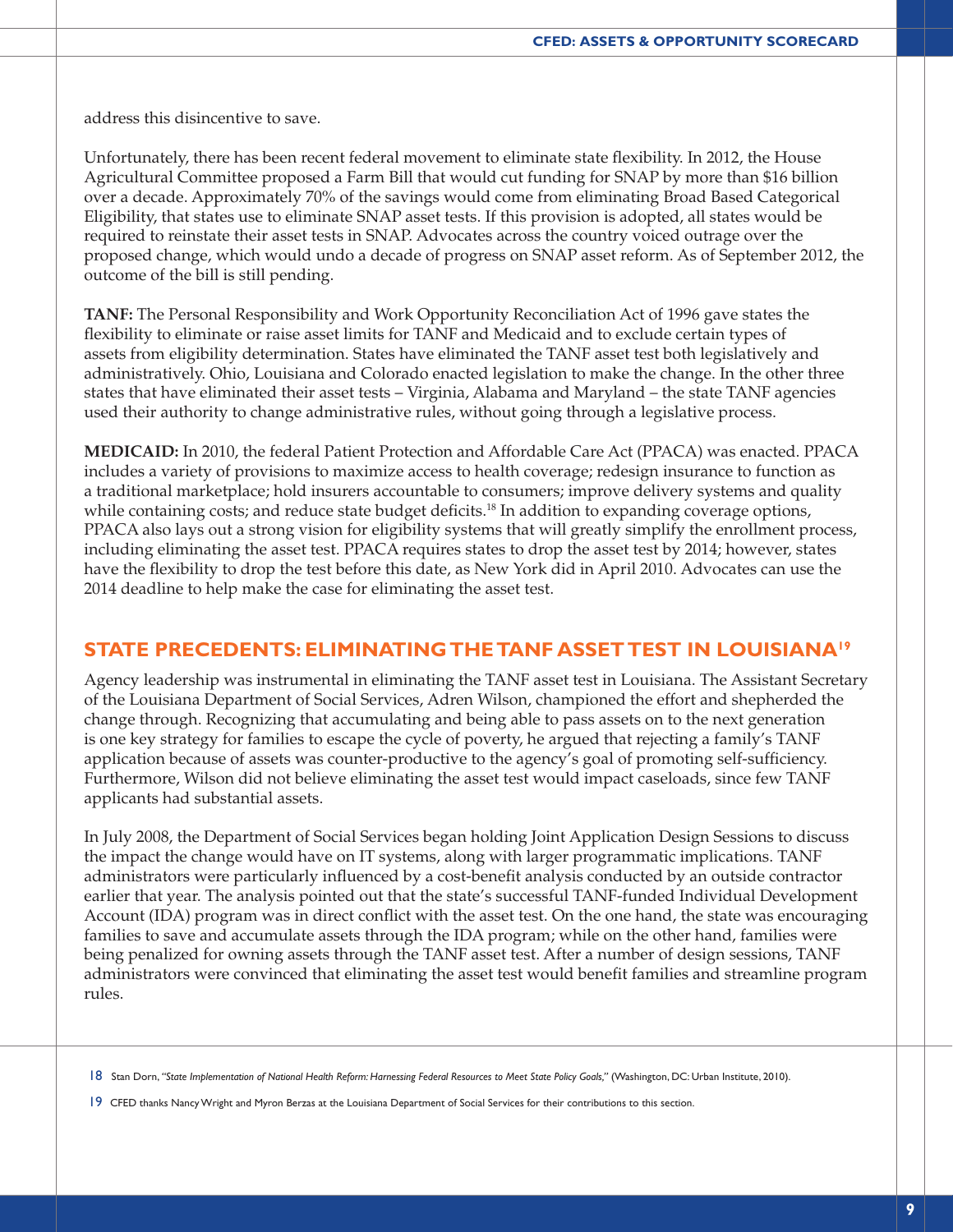address this disincentive to save.

Unfortunately, there has been recent federal movement to eliminate state flexibility. In 2012, the House Agricultural Committee proposed a Farm Bill that would cut funding for SNAP by more than \$16 billion over a decade. Approximately 70% of the savings would come from eliminating Broad Based Categorical Eligibility, that states use to eliminate SNAP asset tests. If this provision is adopted, all states would be required to reinstate their asset tests in SNAP. Advocates across the country voiced outrage over the proposed change, which would undo a decade of progress on SNAP asset reform. As of September 2012, the outcome of the bill is still pending.

**TANF:** The Personal Responsibility and Work Opportunity Reconciliation Act of 1996 gave states the flexibility to eliminate or raise asset limits for TANF and Medicaid and to exclude certain types of assets from eligibility determination. States have eliminated the TANF asset test both legislatively and administratively. Ohio, Louisiana and Colorado enacted legislation to make the change. In the other three states that have eliminated their asset tests – Virginia, Alabama and Maryland – the state TANF agencies used their authority to change administrative rules, without going through a legislative process.

**MEDICAID:** In 2010, the federal Patient Protection and Affordable Care Act (PPACA) was enacted. PPACA includes a variety of provisions to maximize access to health coverage; redesign insurance to function as a traditional marketplace; hold insurers accountable to consumers; improve delivery systems and quality while containing costs; and reduce state budget deficits.<sup>18</sup> In addition to expanding coverage options, PPACA also lays out a strong vision for eligibility systems that will greatly simplify the enrollment process, including eliminating the asset test. PPACA requires states to drop the asset test by 2014; however, states have the flexibility to drop the test before this date, as New York did in April 2010. Advocates can use the 2014 deadline to help make the case for eliminating the asset test.

#### **STATE PRECEDENTS: ELIMINATING THE TANF ASSET TEST IN LOUISIANA19**

Agency leadership was instrumental in eliminating the TANF asset test in Louisiana. The Assistant Secretary of the Louisiana Department of Social Services, Adren Wilson, championed the effort and shepherded the change through. Recognizing that accumulating and being able to pass assets on to the next generation is one key strategy for families to escape the cycle of poverty, he argued that rejecting a family's TANF application because of assets was counter-productive to the agency's goal of promoting self-sufficiency. Furthermore, Wilson did not believe eliminating the asset test would impact caseloads, since few TANF applicants had substantial assets.

In July 2008, the Department of Social Services began holding Joint Application Design Sessions to discuss the impact the change would have on IT systems, along with larger programmatic implications. TANF administrators were particularly influenced by a cost-benefit analysis conducted by an outside contractor earlier that year. The analysis pointed out that the state's successful TANF-funded Individual Development Account (IDA) program was in direct conflict with the asset test. On the one hand, the state was encouraging families to save and accumulate assets through the IDA program; while on the other hand, families were being penalized for owning assets through the TANF asset test. After a number of design sessions, TANF administrators were convinced that eliminating the asset test would benefit families and streamline program rules.

<sup>18</sup> Stan Dorn, *"State Implementation of National Health Reform: Harnessing Federal Resources to Meet State Policy Goals,"* (Washington, DC: Urban Institute, 2010).

<sup>19</sup> CFED thanks Nancy Wright and Myron Berzas at the Louisiana Department of Social Services for their contributions to this section.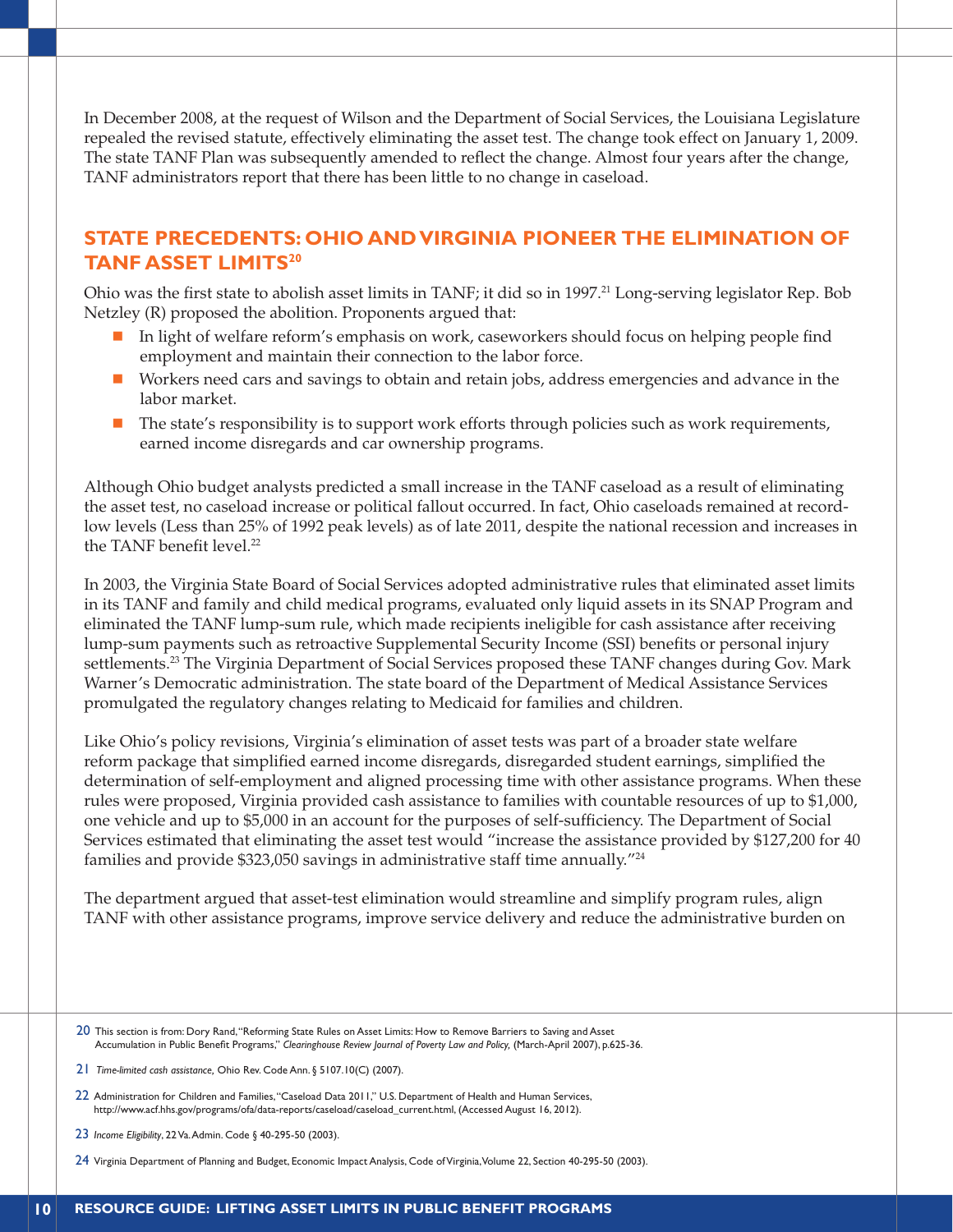In December 2008, at the request of Wilson and the Department of Social Services, the Louisiana Legislature repealed the revised statute, effectively eliminating the asset test. The change took effect on January 1, 2009. The state TANF Plan was subsequently amended to reflect the change. Almost four years after the change, TANF administrators report that there has been little to no change in caseload.

### **STATE PRECEDENTS: OHIO AND VIRGINIA PIONEER THE ELIMINATION OF TANF ASSET LIMITS20**

Ohio was the first state to abolish asset limits in TANF; it did so in 1997.<sup>21</sup> Long-serving legislator Rep. Bob Netzley (R) proposed the abolition. Proponents argued that:

- In light of welfare reform's emphasis on work, caseworkers should focus on helping people find employment and maintain their connection to the labor force.
- n Workers need cars and savings to obtain and retain jobs, address emergencies and advance in the labor market.
- n The state's responsibility is to support work efforts through policies such as work requirements, earned income disregards and car ownership programs.

Although Ohio budget analysts predicted a small increase in the TANF caseload as a result of eliminating the asset test, no caseload increase or political fallout occurred. In fact, Ohio caseloads remained at recordlow levels (Less than 25% of 1992 peak levels) as of late 2011, despite the national recession and increases in the TANF benefit level.<sup>22</sup>

In 2003, the Virginia State Board of Social Services adopted administrative rules that eliminated asset limits in its TANF and family and child medical programs, evaluated only liquid assets in its SNAP Program and eliminated the TANF lump-sum rule, which made recipients ineligible for cash assistance after receiving lump-sum payments such as retroactive Supplemental Security Income (SSI) benefits or personal injury settlements.<sup>23</sup> The Virginia Department of Social Services proposed these TANF changes during Gov. Mark Warner's Democratic administration. The state board of the Department of Medical Assistance Services promulgated the regulatory changes relating to Medicaid for families and children.

Like Ohio's policy revisions, Virginia's elimination of asset tests was part of a broader state welfare reform package that simplified earned income disregards, disregarded student earnings, simplified the determination of self-employment and aligned processing time with other assistance programs. When these rules were proposed, Virginia provided cash assistance to families with countable resources of up to \$1,000, one vehicle and up to \$5,000 in an account for the purposes of self-sufficiency. The Department of Social Services estimated that eliminating the asset test would "increase the assistance provided by \$127,200 for 40 families and provide \$323,050 savings in administrative staff time annually."24

The department argued that asset-test elimination would streamline and simplify program rules, align TANF with other assistance programs, improve service delivery and reduce the administrative burden on

- 20 This section is from: Dory Rand, "Reforming State Rules on Asset Limits: How to Remove Barriers to Saving and Asset Accumulation in Public Benefit Programs," *Clearinghouse Review Journal of Poverty Law and Policy,* (March-April 2007), p.625-36.
- 21 *Time-limited cash assistance,* Ohio Rev. Code Ann. § 5107.10(C) (2007).
- 22 Administration for Children and Families, "Caseload Data 2011," U.S. Department of Health and Human Services, http://www.acf.hhs.gov/programs/ofa/data-reports/caseload/caseload\_current.html, (Accessed August 16, 2012).
- 23 *Income Eligibility*, 22 Va. Admin. Code § 40-295-50 (2003).

24 Virginia Department of Planning and Budget, Economic Impact Analysis, Code of Virginia, Volume 22, Section 40-295-50 (2003).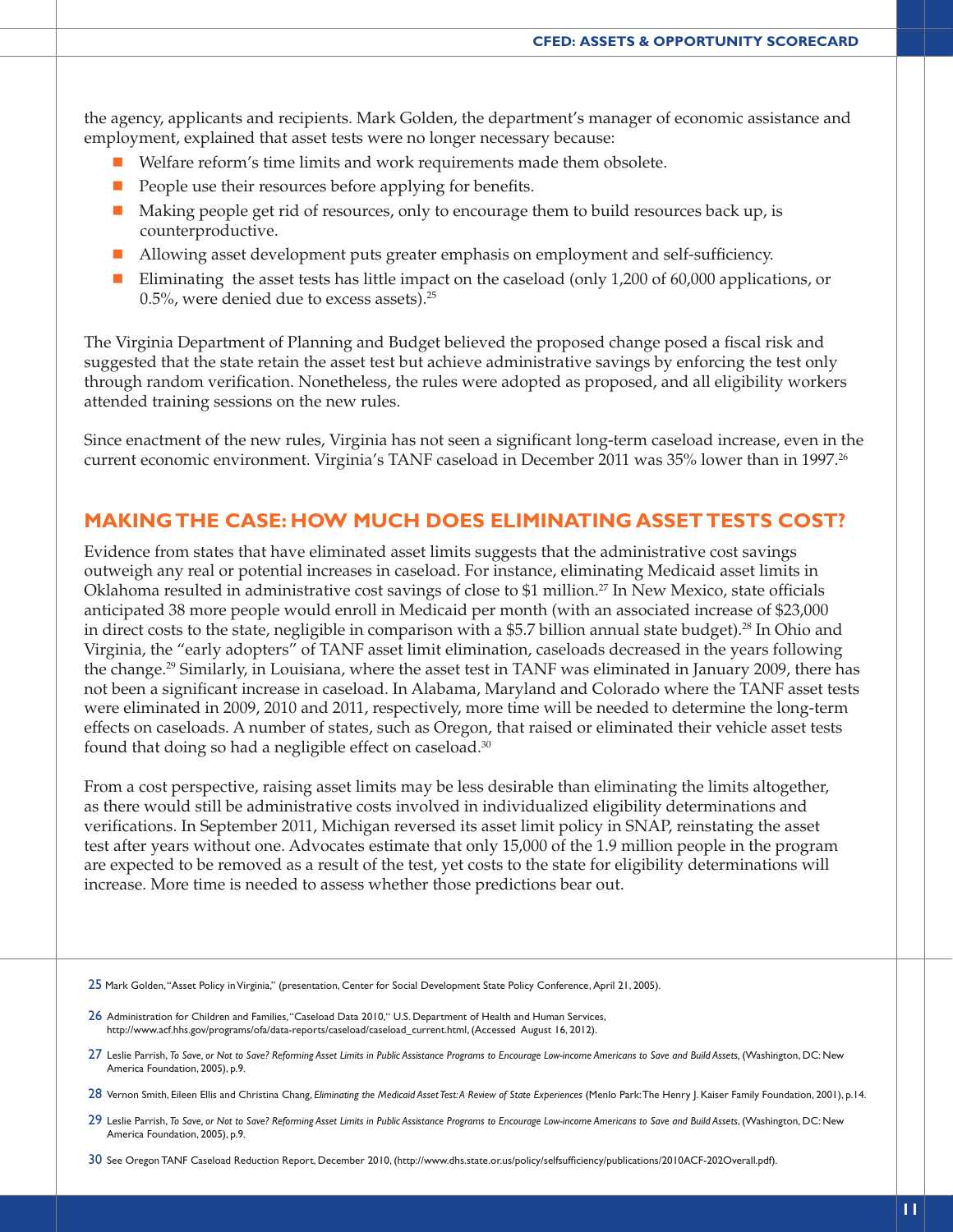the agency, applicants and recipients. Mark Golden, the department's manager of economic assistance and employment, explained that asset tests were no longer necessary because:

- n Welfare reform's time limits and work requirements made them obsolete.
- **n** People use their resources before applying for benefits.
- n Making people get rid of resources, only to encourage them to build resources back up, is counterproductive.
- Allowing asset development puts greater emphasis on employment and self-sufficiency.
- Eliminating the asset tests has little impact on the caseload (only 1,200 of 60,000 applications, or 0.5%, were denied due to excess assets).25

The Virginia Department of Planning and Budget believed the proposed change posed a fiscal risk and suggested that the state retain the asset test but achieve administrative savings by enforcing the test only through random verification. Nonetheless, the rules were adopted as proposed, and all eligibility workers attended training sessions on the new rules.

Since enactment of the new rules, Virginia has not seen a significant long-term caseload increase, even in the current economic environment. Virginia's TANF caseload in December 2011 was 35% lower than in 1997.26

#### **MAKING THE CASE: HOW MUCH DOES ELIMINATING ASSET TESTS COST?**

Evidence from states that have eliminated asset limits suggests that the administrative cost savings outweigh any real or potential increases in caseload. For instance, eliminating Medicaid asset limits in Oklahoma resulted in administrative cost savings of close to \$1 million.27 In New Mexico, state officials anticipated 38 more people would enroll in Medicaid per month (with an associated increase of \$23,000 in direct costs to the state, negligible in comparison with a \$5.7 billion annual state budget).28 In Ohio and Virginia, the "early adopters" of TANF asset limit elimination, caseloads decreased in the years following the change.29 Similarly, in Louisiana, where the asset test in TANF was eliminated in January 2009, there has not been a significant increase in caseload. In Alabama, Maryland and Colorado where the TANF asset tests were eliminated in 2009, 2010 and 2011, respectively, more time will be needed to determine the long-term effects on caseloads. A number of states, such as Oregon, that raised or eliminated their vehicle asset tests found that doing so had a negligible effect on caseload.<sup>30</sup>

From a cost perspective, raising asset limits may be less desirable than eliminating the limits altogether, as there would still be administrative costs involved in individualized eligibility determinations and verifications. In September 2011, Michigan reversed its asset limit policy in SNAP, reinstating the asset test after years without one. Advocates estimate that only 15,000 of the 1.9 million people in the program are expected to be removed as a result of the test, yet costs to the state for eligibility determinations will increase. More time is needed to assess whether those predictions bear out.

- 27 Leslie Parrish, *To Save, or Not to Save? Reforming Asset Limits in Public Assistance Programs to Encourage Low-income Americans to Save and Build Assets, (Washington, DC: New* America Foundation, 2005), p.9.
- 28 Vernon Smith, Eileen Ellis and Christina Chang, *Eliminating the Medicaid Asset Test: A Review of State Experiences* (Menlo Park: The Henry J. Kaiser Family Foundation, 2001), p.14.
- 29 Leslie Parrish, *To Save, or Not to Save? Reforming Asset Limits in Public Assistance Programs to Encourage Low-income Americans to Save and Build Assets*, (Washington, DC: New America Foundation, 2005), p.9.
- 30 See Oregon TANF Caseload Reduction Report, December 2010, (http://www.dhs.state.or.us/policy/selfsufficiency/publications/2010ACF-202Overall.pdf).

<sup>25</sup> Mark Golden, "Asset Policy in Virginia," (presentation, Center for Social Development State Policy Conference, April 21, 2005).

<sup>26</sup> Administration for Children and Families, "Caseload Data 2010," U.S. Department of Health and Human Services, http://www.acf.hhs.gov/programs/ofa/data-reports/caseload/caseload\_current.html, (Accessed August 16, 2012).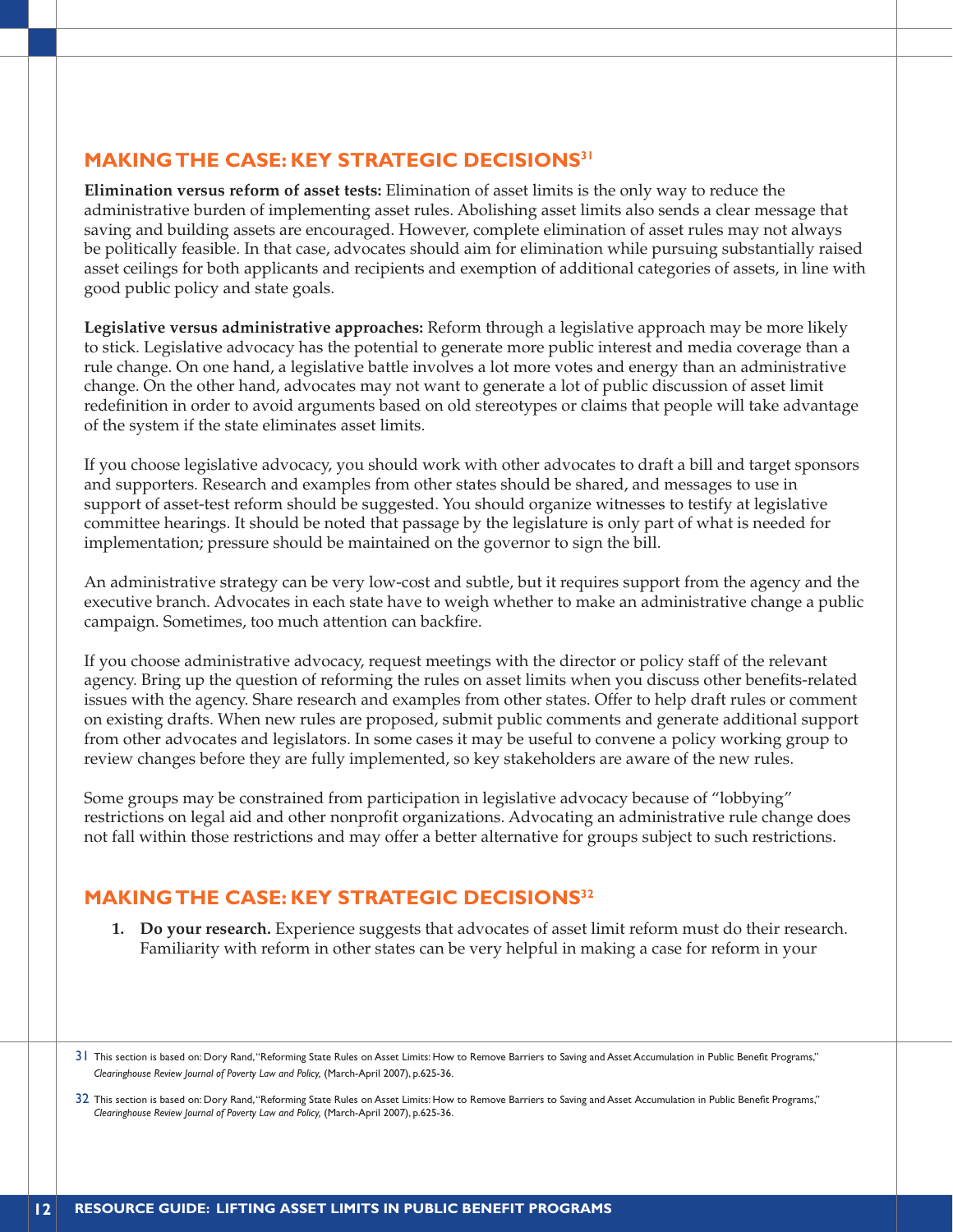## **MAKING THE CASE: KEY STRATEGIC DECISIONS31**

**Elimination versus reform of asset tests:** Elimination of asset limits is the only way to reduce the administrative burden of implementing asset rules. Abolishing asset limits also sends a clear message that saving and building assets are encouraged. However, complete elimination of asset rules may not always be politically feasible. In that case, advocates should aim for elimination while pursuing substantially raised asset ceilings for both applicants and recipients and exemption of additional categories of assets, in line with good public policy and state goals.

**Legislative versus administrative approaches:** Reform through a legislative approach may be more likely to stick. Legislative advocacy has the potential to generate more public interest and media coverage than a rule change. On one hand, a legislative battle involves a lot more votes and energy than an administrative change. On the other hand, advocates may not want to generate a lot of public discussion of asset limit redefinition in order to avoid arguments based on old stereotypes or claims that people will take advantage of the system if the state eliminates asset limits.

If you choose legislative advocacy, you should work with other advocates to draft a bill and target sponsors and supporters. Research and examples from other states should be shared, and messages to use in support of asset-test reform should be suggested. You should organize witnesses to testify at legislative committee hearings. It should be noted that passage by the legislature is only part of what is needed for implementation; pressure should be maintained on the governor to sign the bill.

An administrative strategy can be very low-cost and subtle, but it requires support from the agency and the executive branch. Advocates in each state have to weigh whether to make an administrative change a public campaign. Sometimes, too much attention can backfire.

If you choose administrative advocacy, request meetings with the director or policy staff of the relevant agency. Bring up the question of reforming the rules on asset limits when you discuss other benefits-related issues with the agency. Share research and examples from other states. Offer to help draft rules or comment on existing drafts. When new rules are proposed, submit public comments and generate additional support from other advocates and legislators. In some cases it may be useful to convene a policy working group to review changes before they are fully implemented, so key stakeholders are aware of the new rules.

Some groups may be constrained from participation in legislative advocacy because of "lobbying" restrictions on legal aid and other nonprofit organizations. Advocating an administrative rule change does not fall within those restrictions and may offer a better alternative for groups subject to such restrictions.

## **MAKING THE CASE: KEY STRATEGIC DECISIONS32**

**1. Do your research.** Experience suggests that advocates of asset limit reform must do their research. Familiarity with reform in other states can be very helpful in making a case for reform in your

<sup>31</sup> This section is based on: Dory Rand, "Reforming State Rules on Asset Limits: How to Remove Barriers to Saving and Asset Accumulation in Public Benefit Programs," *Clearinghouse Review Journal of Poverty Law and Policy,* (March-April 2007), p.625-36.

<sup>32</sup> This section is based on: Dory Rand, "Reforming State Rules on Asset Limits: How to Remove Barriers to Saving and Asset Accumulation in Public Benefit Programs," *Clearinghouse Review Journal of Poverty Law and Policy,* (March-April 2007), p.625-36.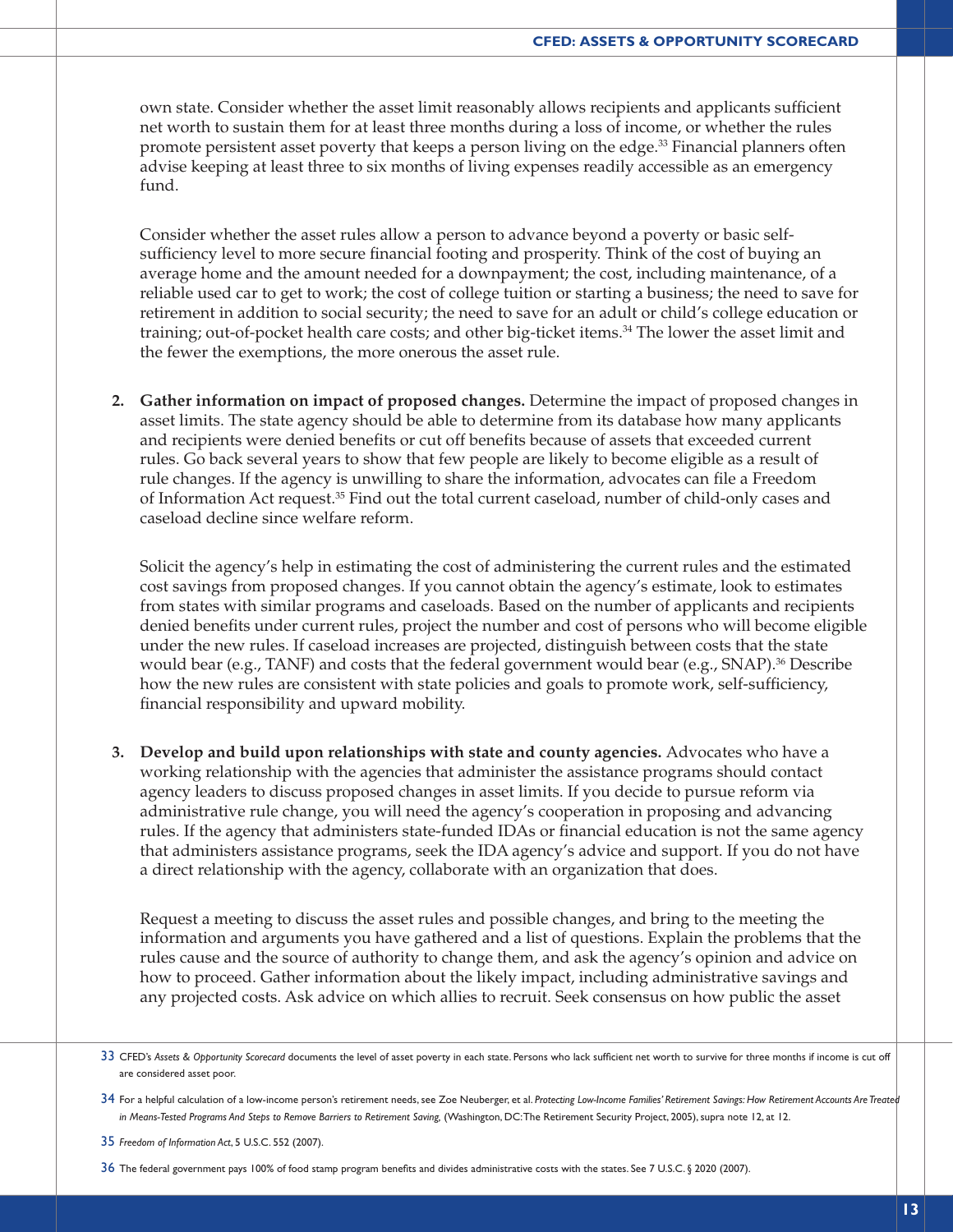own state. Consider whether the asset limit reasonably allows recipients and applicants sufficient net worth to sustain them for at least three months during a loss of income, or whether the rules promote persistent asset poverty that keeps a person living on the edge.<sup>33</sup> Financial planners often advise keeping at least three to six months of living expenses readily accessible as an emergency fund.

Consider whether the asset rules allow a person to advance beyond a poverty or basic selfsufficiency level to more secure financial footing and prosperity. Think of the cost of buying an average home and the amount needed for a downpayment; the cost, including maintenance, of a reliable used car to get to work; the cost of college tuition or starting a business; the need to save for retirement in addition to social security; the need to save for an adult or child's college education or training; out-of-pocket health care costs; and other big-ticket items.<sup>34</sup> The lower the asset limit and the fewer the exemptions, the more onerous the asset rule.

**2. Gather information on impact of proposed changes.** Determine the impact of proposed changes in asset limits. The state agency should be able to determine from its database how many applicants and recipients were denied benefits or cut off benefits because of assets that exceeded current rules. Go back several years to show that few people are likely to become eligible as a result of rule changes. If the agency is unwilling to share the information, advocates can file a Freedom of Information Act request.35 Find out the total current caseload, number of child-only cases and caseload decline since welfare reform.

Solicit the agency's help in estimating the cost of administering the current rules and the estimated cost savings from proposed changes. If you cannot obtain the agency's estimate, look to estimates from states with similar programs and caseloads. Based on the number of applicants and recipients denied benefits under current rules, project the number and cost of persons who will become eligible under the new rules. If caseload increases are projected, distinguish between costs that the state would bear (e.g., TANF) and costs that the federal government would bear (e.g., SNAP).<sup>36</sup> Describe how the new rules are consistent with state policies and goals to promote work, self-sufficiency, financial responsibility and upward mobility.

**3. Develop and build upon relationships with state and county agencies.** Advocates who have a working relationship with the agencies that administer the assistance programs should contact agency leaders to discuss proposed changes in asset limits. If you decide to pursue reform via administrative rule change, you will need the agency's cooperation in proposing and advancing rules. If the agency that administers state-funded IDAs or financial education is not the same agency that administers assistance programs, seek the IDA agency's advice and support. If you do not have a direct relationship with the agency, collaborate with an organization that does.

Request a meeting to discuss the asset rules and possible changes, and bring to the meeting the information and arguments you have gathered and a list of questions. Explain the problems that the rules cause and the source of authority to change them, and ask the agency's opinion and advice on how to proceed. Gather information about the likely impact, including administrative savings and any projected costs. Ask advice on which allies to recruit. Seek consensus on how public the asset

35 *Freedom of Information Act*, 5 U.S.C. 552 (2007).

36 The federal government pays 100% of food stamp program benefits and divides administrative costs with the states. See 7 U.S.C. § 2020 (2007).

<sup>33</sup> CFED's *Assets & Opportunity Scorecard* documents the level of asset poverty in each state. Persons who lack sufficient net worth to survive for three months if income is cut off are considered asset poor.

<sup>34</sup> For a helpful calculation of a low-income person's retirement needs, see Zoe Neuberger, et al. *Protecting Low-Income Families' Retirement Savings: How Retirement Accounts Are Treated in Means-Tested Programs And Steps to Remove Barriers to Retirement Saving,* (Washington, DC: The Retirement Security Project, 2005), supra note 12, at 12.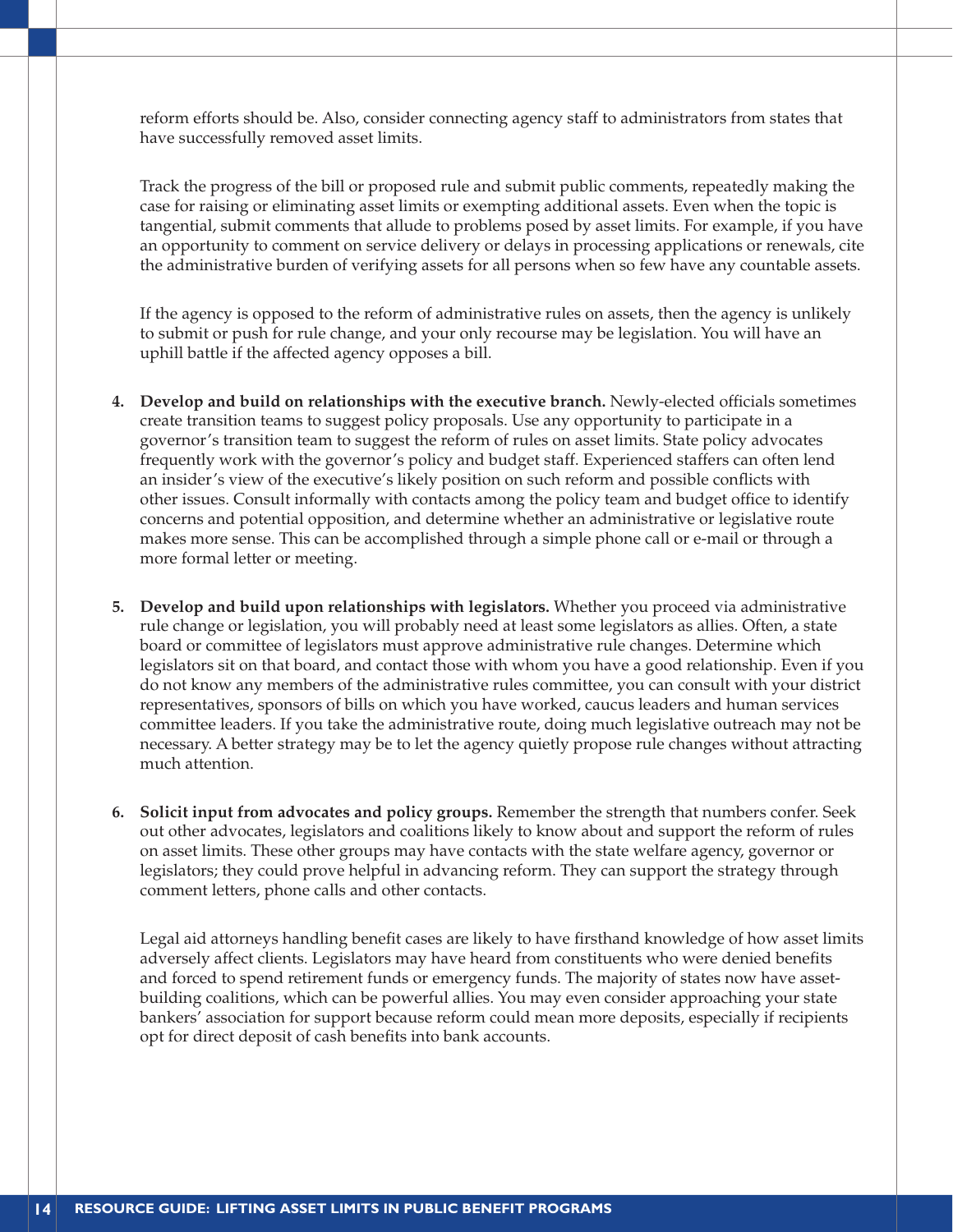reform efforts should be. Also, consider connecting agency staff to administrators from states that have successfully removed asset limits.

Track the progress of the bill or proposed rule and submit public comments, repeatedly making the case for raising or eliminating asset limits or exempting additional assets. Even when the topic is tangential, submit comments that allude to problems posed by asset limits. For example, if you have an opportunity to comment on service delivery or delays in processing applications or renewals, cite the administrative burden of verifying assets for all persons when so few have any countable assets.

If the agency is opposed to the reform of administrative rules on assets, then the agency is unlikely to submit or push for rule change, and your only recourse may be legislation. You will have an uphill battle if the affected agency opposes a bill.

- **4. Develop and build on relationships with the executive branch.** Newly-elected officials sometimes create transition teams to suggest policy proposals. Use any opportunity to participate in a governor's transition team to suggest the reform of rules on asset limits. State policy advocates frequently work with the governor's policy and budget staff. Experienced staffers can often lend an insider's view of the executive's likely position on such reform and possible conflicts with other issues. Consult informally with contacts among the policy team and budget office to identify concerns and potential opposition, and determine whether an administrative or legislative route makes more sense. This can be accomplished through a simple phone call or e-mail or through a more formal letter or meeting.
- **5. Develop and build upon relationships with legislators.** Whether you proceed via administrative rule change or legislation, you will probably need at least some legislators as allies. Often, a state board or committee of legislators must approve administrative rule changes. Determine which legislators sit on that board, and contact those with whom you have a good relationship. Even if you do not know any members of the administrative rules committee, you can consult with your district representatives, sponsors of bills on which you have worked, caucus leaders and human services committee leaders. If you take the administrative route, doing much legislative outreach may not be necessary. A better strategy may be to let the agency quietly propose rule changes without attracting much attention.
- **6. Solicit input from advocates and policy groups.** Remember the strength that numbers confer. Seek out other advocates, legislators and coalitions likely to know about and support the reform of rules on asset limits. These other groups may have contacts with the state welfare agency, governor or legislators; they could prove helpful in advancing reform. They can support the strategy through comment letters, phone calls and other contacts.

Legal aid attorneys handling benefit cases are likely to have firsthand knowledge of how asset limits adversely affect clients. Legislators may have heard from constituents who were denied benefits and forced to spend retirement funds or emergency funds. The majority of states now have assetbuilding coalitions, which can be powerful allies. You may even consider approaching your state bankers' association for support because reform could mean more deposits, especially if recipients opt for direct deposit of cash benefits into bank accounts.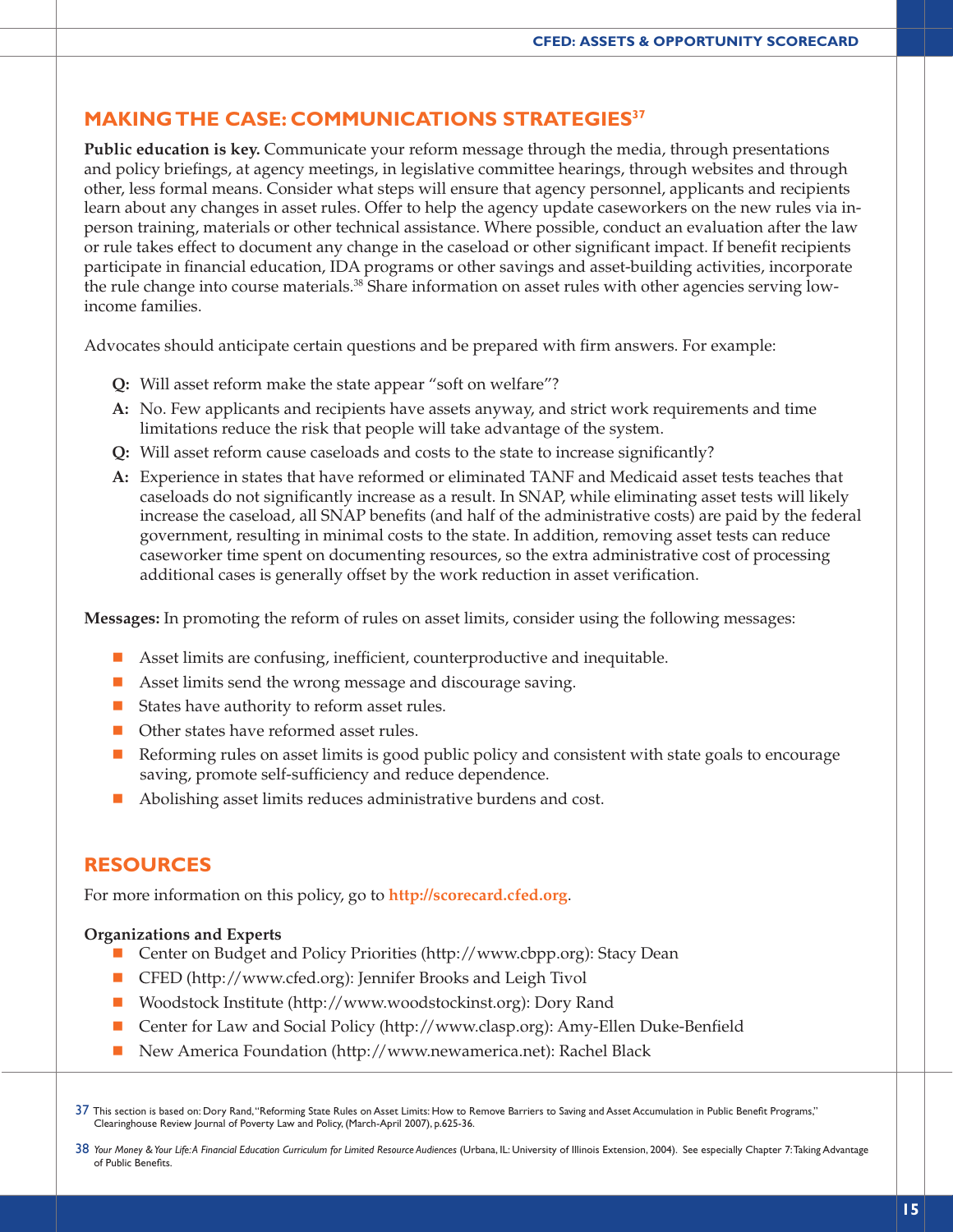### **MAKING THE CASE: COMMUNICATIONS STRATEGIES37**

**Public education is key.** Communicate your reform message through the media, through presentations and policy briefings, at agency meetings, in legislative committee hearings, through websites and through other, less formal means. Consider what steps will ensure that agency personnel, applicants and recipients learn about any changes in asset rules. Offer to help the agency update caseworkers on the new rules via inperson training, materials or other technical assistance. Where possible, conduct an evaluation after the law or rule takes effect to document any change in the caseload or other significant impact. If benefit recipients participate in financial education, IDA programs or other savings and asset-building activities, incorporate the rule change into course materials.<sup>38</sup> Share information on asset rules with other agencies serving lowincome families.

Advocates should anticipate certain questions and be prepared with firm answers. For example:

- **Q:** Will asset reform make the state appear "soft on welfare"?
- **A:** No. Few applicants and recipients have assets anyway, and strict work requirements and time limitations reduce the risk that people will take advantage of the system.
- **Q:** Will asset reform cause caseloads and costs to the state to increase significantly?
- **A:** Experience in states that have reformed or eliminated TANF and Medicaid asset tests teaches that caseloads do not significantly increase as a result. In SNAP, while eliminating asset tests will likely increase the caseload, all SNAP benefits (and half of the administrative costs) are paid by the federal government, resulting in minimal costs to the state. In addition, removing asset tests can reduce caseworker time spent on documenting resources, so the extra administrative cost of processing additional cases is generally offset by the work reduction in asset verification.

**Messages:** In promoting the reform of rules on asset limits, consider using the following messages:

- **n** Asset limits are confusing, inefficient, counterproductive and inequitable.
- Asset limits send the wrong message and discourage saving.
- $\blacksquare$  States have authority to reform asset rules.
- Other states have reformed asset rules.
- **n** Reforming rules on asset limits is good public policy and consistent with state goals to encourage saving, promote self-sufficiency and reduce dependence.
- $\blacksquare$  Abolishing asset limits reduces administrative burdens and cost.

#### **RESOURCES**

For more information on this policy, go to **http://scorecard.cfed.org**.

#### **Organizations and Experts**

- Center on Budget and Policy Priorities (http://www.cbpp.org): Stacy Dean
- CFED (http://www.cfed.org): Jennifer Brooks and Leigh Tivol
- Woodstock Institute (http://www.woodstockinst.org): Dory Rand
- Center for Law and Social Policy (http://www.clasp.org): Amy-Ellen Duke-Benfield
- New America Foundation (http://www.newamerica.net): Rachel Black

37 This section is based on: Dory Rand, "Reforming State Rules on Asset Limits: How to Remove Barriers to Saving and Asset Accumulation in Public Benefit Programs," Clearinghouse Review Journal of Poverty Law and Policy, (March-April 2007), p.625-36.

38 Your Money & Your Life: A Financial Education Curriculum for Limited Resource Audiences (Urbana, IL: University of Illinois Extension, 2004). See especially Chapter 7: Taking Advantage of Public Benefits.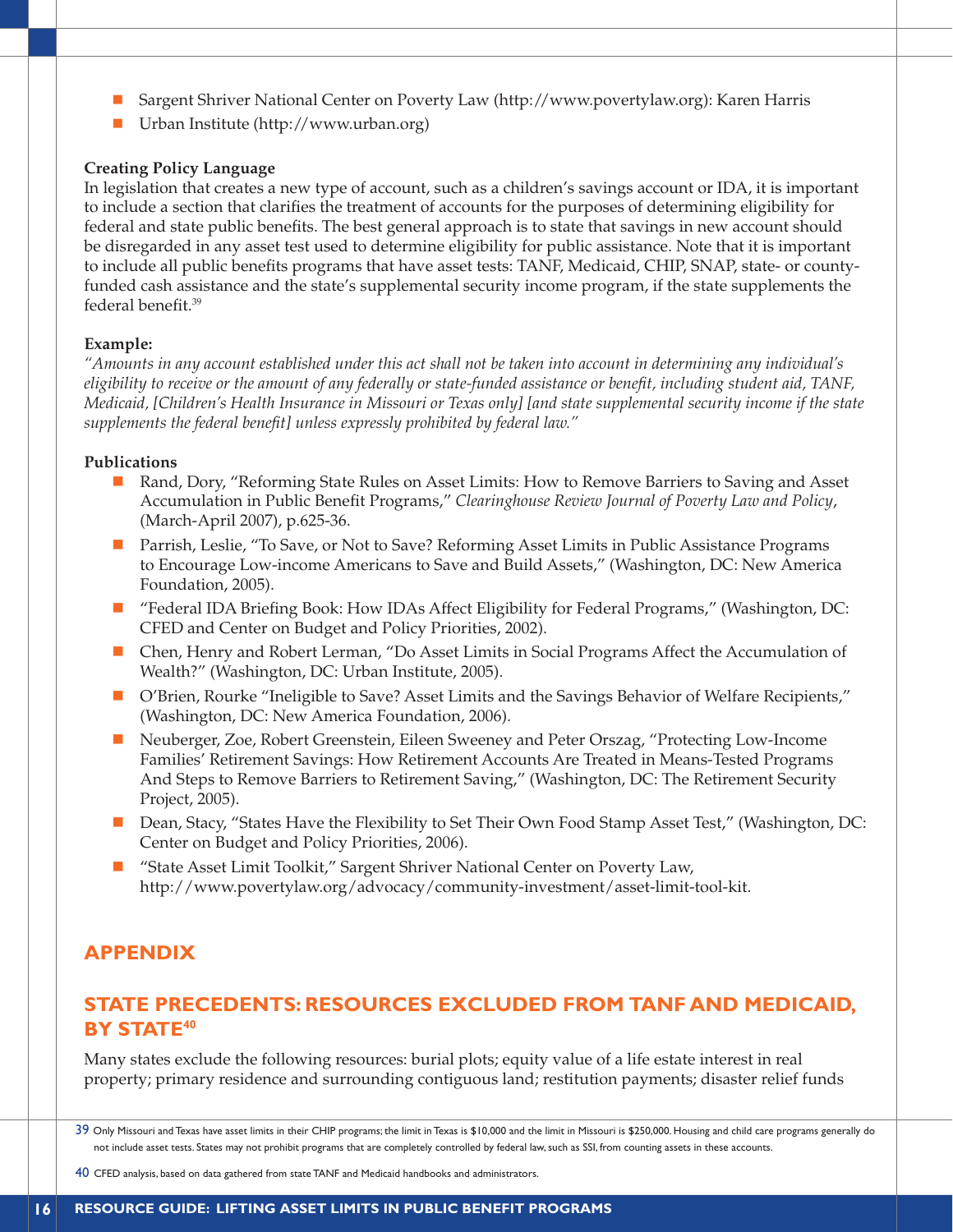- n Sargent Shriver National Center on Poverty Law (http://www.povertylaw.org): Karen Harris
- $\blacksquare$  Urban Institute (http://www.urban.org)

#### **Creating Policy Language**

In legislation that creates a new type of account, such as a children's savings account or IDA, it is important to include a section that clarifies the treatment of accounts for the purposes of determining eligibility for federal and state public benefits. The best general approach is to state that savings in new account should be disregarded in any asset test used to determine eligibility for public assistance. Note that it is important to include all public benefits programs that have asset tests: TANF, Medicaid, CHIP, SNAP, state- or countyfunded cash assistance and the state's supplemental security income program, if the state supplements the federal benefit.39

#### **Example:**

*"Amounts in any account established under this act shall not be taken into account in determining any individual's eligibility to receive or the amount of any federally or state-funded assistance or benefit, including student aid, TANF, Medicaid, [Children's Health Insurance in Missouri or Texas only] [and state supplemental security income if the state supplements the federal benefit] unless expressly prohibited by federal law."*

#### **Publications**

- Rand, Dory, "Reforming State Rules on Asset Limits: How to Remove Barriers to Saving and Asset Accumulation in Public Benefit Programs," *Clearinghouse Review Journal of Poverty Law and Policy*, (March-April 2007), p.625-36.
- Parrish, Leslie, "To Save, or Not to Save? Reforming Asset Limits in Public Assistance Programs to Encourage Low-income Americans to Save and Build Assets," (Washington, DC: New America Foundation, 2005).
- "Federal IDA Briefing Book: How IDAs Affect Eligibility for Federal Programs," (Washington, DC: CFED and Center on Budget and Policy Priorities, 2002).
- n Chen, Henry and Robert Lerman, "Do Asset Limits in Social Programs Affect the Accumulation of Wealth?" (Washington, DC: Urban Institute, 2005).
- n O'Brien, Rourke "Ineligible to Save? Asset Limits and the Savings Behavior of Welfare Recipients," (Washington, DC: New America Foundation, 2006).
- n Neuberger, Zoe, Robert Greenstein, Eileen Sweeney and Peter Orszag, "Protecting Low-Income Families' Retirement Savings: How Retirement Accounts Are Treated in Means-Tested Programs And Steps to Remove Barriers to Retirement Saving," (Washington, DC: The Retirement Security Project, 2005).
- Dean, Stacy, "States Have the Flexibility to Set Their Own Food Stamp Asset Test," (Washington, DC: Center on Budget and Policy Priorities, 2006).
- n "State Asset Limit Toolkit," Sargent Shriver National Center on Poverty Law, http://www.povertylaw.org/advocacy/community-investment/asset-limit-tool-kit.

## **APPENDIX**

## **STATE PRECEDENTS: RESOURCES EXCLUDED FROM TANF AND MEDICAID, BY STATE40**

Many states exclude the following resources: burial plots; equity value of a life estate interest in real property; primary residence and surrounding contiguous land; restitution payments; disaster relief funds

<sup>39</sup> Only Missouri and Texas have asset limits in their CHIP programs; the limit in Texas is \$10,000 and the limit in Missouri is \$250,000. Housing and child care programs generally do not include asset tests. States may not prohibit programs that are completely controlled by federal law, such as SSI, from counting assets in these accounts.

<sup>40</sup> CFED analysis, based on data gathered from state TANF and Medicaid handbooks and administrators.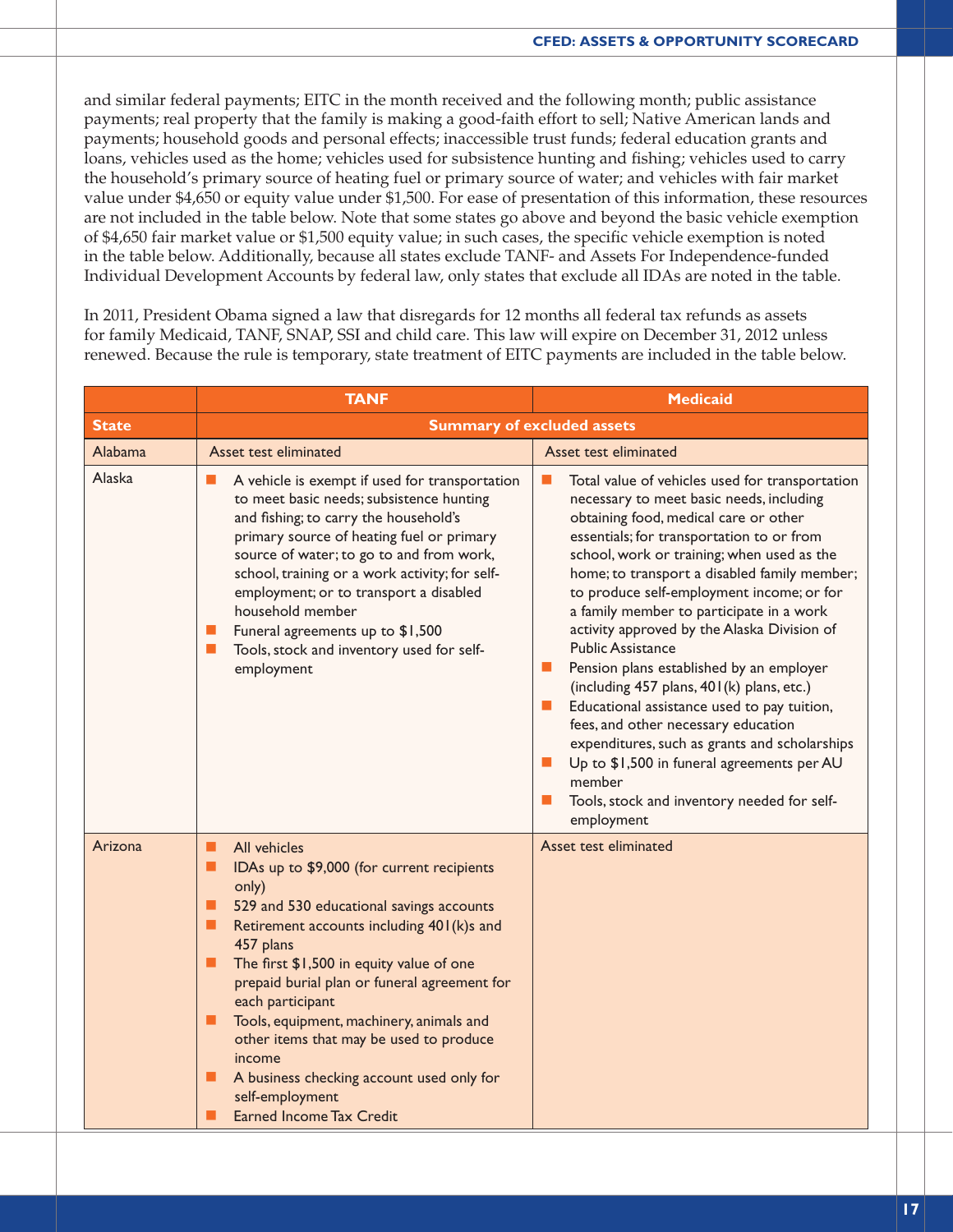and similar federal payments; EITC in the month received and the following month; public assistance payments; real property that the family is making a good-faith effort to sell; Native American lands and payments; household goods and personal effects; inaccessible trust funds; federal education grants and loans, vehicles used as the home; vehicles used for subsistence hunting and fishing; vehicles used to carry the household's primary source of heating fuel or primary source of water; and vehicles with fair market value under \$4,650 or equity value under \$1,500. For ease of presentation of this information, these resources are not included in the table below. Note that some states go above and beyond the basic vehicle exemption of \$4,650 fair market value or \$1,500 equity value; in such cases, the specific vehicle exemption is noted in the table below. Additionally, because all states exclude TANF- and Assets For Independence-funded Individual Development Accounts by federal law, only states that exclude all IDAs are noted in the table.

In 2011, President Obama signed a law that disregards for 12 months all federal tax refunds as assets for family Medicaid, TANF, SNAP, SSI and child care. This law will expire on December 31, 2012 unless renewed. Because the rule is temporary, state treatment of EITC payments are included in the table below.

|              | <b>TANF</b>                                                                                                                                                                                                                                                                                                                                                                                                                                                                                                                           | <b>Medicaid</b>                                                                                                                                                                                                                                                                                                                                                                                                                                                                                                                                                                                                                                                                                                                                                                                                                                                                       |
|--------------|---------------------------------------------------------------------------------------------------------------------------------------------------------------------------------------------------------------------------------------------------------------------------------------------------------------------------------------------------------------------------------------------------------------------------------------------------------------------------------------------------------------------------------------|---------------------------------------------------------------------------------------------------------------------------------------------------------------------------------------------------------------------------------------------------------------------------------------------------------------------------------------------------------------------------------------------------------------------------------------------------------------------------------------------------------------------------------------------------------------------------------------------------------------------------------------------------------------------------------------------------------------------------------------------------------------------------------------------------------------------------------------------------------------------------------------|
| <b>State</b> |                                                                                                                                                                                                                                                                                                                                                                                                                                                                                                                                       | <b>Summary of excluded assets</b>                                                                                                                                                                                                                                                                                                                                                                                                                                                                                                                                                                                                                                                                                                                                                                                                                                                     |
| Alabama      | Asset test eliminated                                                                                                                                                                                                                                                                                                                                                                                                                                                                                                                 | Asset test eliminated                                                                                                                                                                                                                                                                                                                                                                                                                                                                                                                                                                                                                                                                                                                                                                                                                                                                 |
| Alaska       | A vehicle is exempt if used for transportation<br>ш<br>to meet basic needs; subsistence hunting<br>and fishing; to carry the household's<br>primary source of heating fuel or primary<br>source of water; to go to and from work,<br>school, training or a work activity; for self-<br>employment; or to transport a disabled<br>household member<br>Funeral agreements up to \$1,500<br>ш<br>Tools, stock and inventory used for self-<br><b>CONTRACT</b><br>employment                                                              | Total value of vehicles used for transportation<br>ш<br>necessary to meet basic needs, including<br>obtaining food, medical care or other<br>essentials; for transportation to or from<br>school, work or training; when used as the<br>home; to transport a disabled family member;<br>to produce self-employment income; or for<br>a family member to participate in a work<br>activity approved by the Alaska Division of<br><b>Public Assistance</b><br>Pension plans established by an employer<br>ш<br>(including 457 plans, 401(k) plans, etc.)<br>Educational assistance used to pay tuition,<br>$\mathcal{L}_{\mathcal{A}}$<br>fees, and other necessary education<br>expenditures, such as grants and scholarships<br>Up to \$1,500 in funeral agreements per AU<br>$\mathcal{L}_{\mathcal{A}}$<br>member<br>Tools, stock and inventory needed for self-<br>ш<br>employment |
| Arizona      | All vehicles<br>п<br>IDAs up to \$9,000 (for current recipients<br>■<br>only)<br>529 and 530 educational savings accounts<br>ш<br>Retirement accounts including 401(k)s and<br>п<br>457 plans<br>The first \$1,500 in equity value of one<br>п<br>prepaid burial plan or funeral agreement for<br>each participant<br>п<br>Tools, equipment, machinery, animals and<br>other items that may be used to produce<br>income<br>A business checking account used only for<br>п<br>self-employment<br><b>Earned Income Tax Credit</b><br>п | Asset test eliminated                                                                                                                                                                                                                                                                                                                                                                                                                                                                                                                                                                                                                                                                                                                                                                                                                                                                 |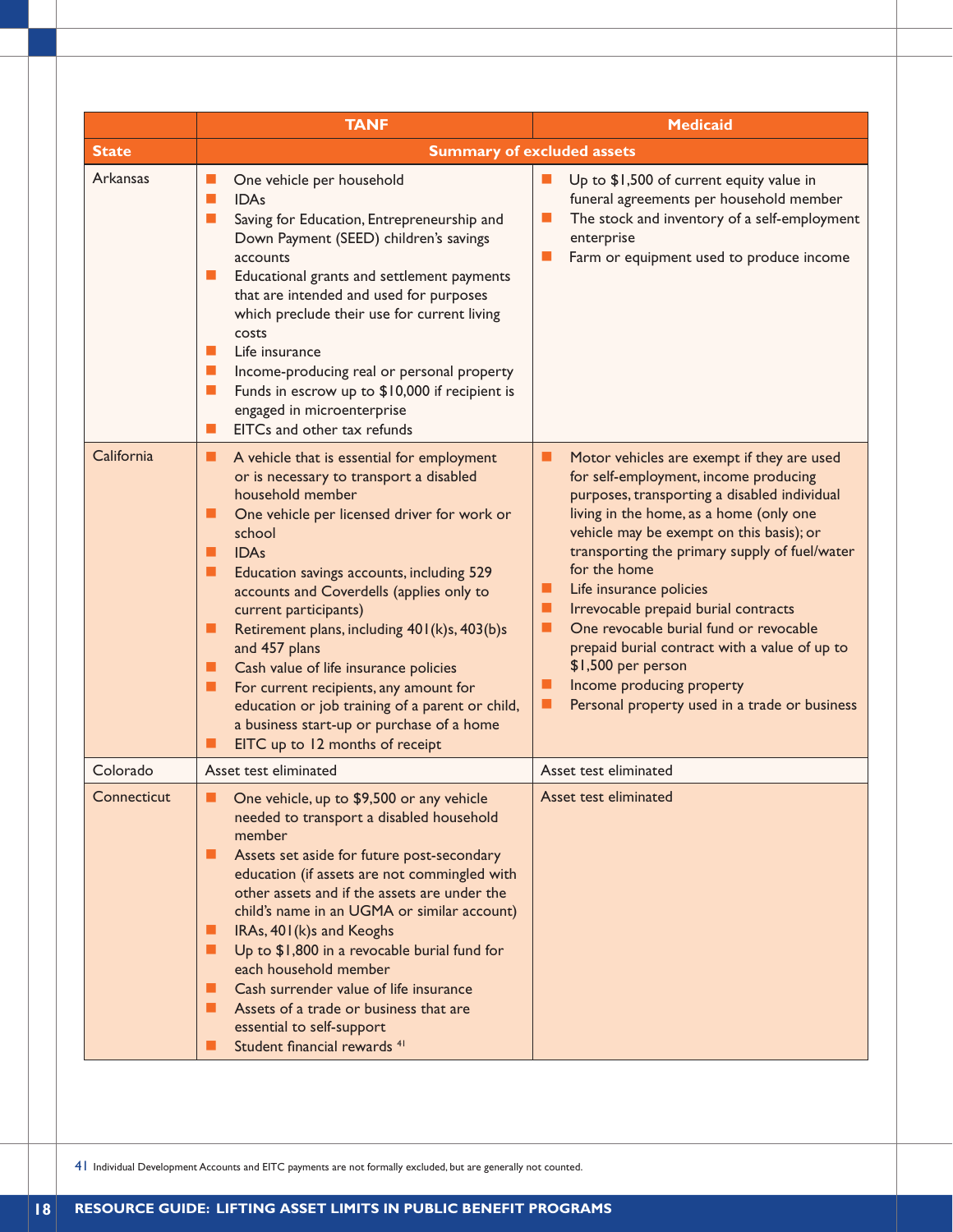|              | <b>TANF</b>                                                                                                                                                                                                                                                                                                                                                                                                                                                                                                                                                                                                                        | <b>Medicaid</b>                                                                                                                                                                                                                                                                                                                                                                                                                                                                                                                                                              |
|--------------|------------------------------------------------------------------------------------------------------------------------------------------------------------------------------------------------------------------------------------------------------------------------------------------------------------------------------------------------------------------------------------------------------------------------------------------------------------------------------------------------------------------------------------------------------------------------------------------------------------------------------------|------------------------------------------------------------------------------------------------------------------------------------------------------------------------------------------------------------------------------------------------------------------------------------------------------------------------------------------------------------------------------------------------------------------------------------------------------------------------------------------------------------------------------------------------------------------------------|
| <b>State</b> |                                                                                                                                                                                                                                                                                                                                                                                                                                                                                                                                                                                                                                    | <b>Summary of excluded assets</b>                                                                                                                                                                                                                                                                                                                                                                                                                                                                                                                                            |
| Arkansas     | One vehicle per household<br>ш<br><b>IDAs</b><br>ш<br>Saving for Education, Entrepreneurship and<br>$\blacksquare$<br>Down Payment (SEED) children's savings<br>accounts<br>Educational grants and settlement payments<br>L.<br>that are intended and used for purposes<br>which preclude their use for current living<br>costs<br>Life insurance<br>ш<br>$\mathbb{R}^n$<br>Income-producing real or personal property<br>Funds in escrow up to \$10,000 if recipient is<br>$\mathbb{R}^n$<br>engaged in microenterprise<br>EITCs and other tax refunds<br>п                                                                       | Up to \$1,500 of current equity value in<br>funeral agreements per household member<br>The stock and inventory of a self-employment<br>ш<br>enterprise<br>Farm or equipment used to produce income<br>ш                                                                                                                                                                                                                                                                                                                                                                      |
| California   | A vehicle that is essential for employment<br>ш<br>or is necessary to transport a disabled<br>household member<br>One vehicle per licensed driver for work or<br>ш<br>school<br><b>IDAs</b><br>■<br>Education savings accounts, including 529<br>п<br>accounts and Coverdells (applies only to<br>current participants)<br>Retirement plans, including 401(k)s, 403(b)s<br>п<br>and 457 plans<br>Cash value of life insurance policies<br>п<br>For current recipients, any amount for<br>п<br>education or job training of a parent or child,<br>a business start-up or purchase of a home<br>EITC up to 12 months of receipt<br>▉ | Motor vehicles are exempt if they are used<br>▄<br>for self-employment, income producing<br>purposes, transporting a disabled individual<br>living in the home, as a home (only one<br>vehicle may be exempt on this basis); or<br>transporting the primary supply of fuel/water<br>for the home<br>Life insurance policies<br>Irrevocable prepaid burial contracts<br>One revocable burial fund or revocable<br>п<br>prepaid burial contract with a value of up to<br>\$1,500 per person<br>Income producing property<br>Personal property used in a trade or business<br>ш |
| Colorado     | Asset test eliminated                                                                                                                                                                                                                                                                                                                                                                                                                                                                                                                                                                                                              | Asset test eliminated                                                                                                                                                                                                                                                                                                                                                                                                                                                                                                                                                        |
| Connecticut  | • One vehicle, up to \$9,500 or any vehicle<br>needed to transport a disabled household<br>member<br>Assets set aside for future post-secondary<br>▄<br>education (if assets are not commingled with<br>other assets and if the assets are under the<br>child's name in an UGMA or similar account)<br>IRAs, 401(k)s and Keoghs<br>ш<br>Up to \$1,800 in a revocable burial fund for<br>each household member<br>Cash surrender value of life insurance<br>Assets of a trade or business that are<br>essential to self-support<br>Student financial rewards <sup>41</sup>                                                          | Asset test eliminated                                                                                                                                                                                                                                                                                                                                                                                                                                                                                                                                                        |

41 Individual Development Accounts and EITC payments are not formally excluded, but are generally not counted.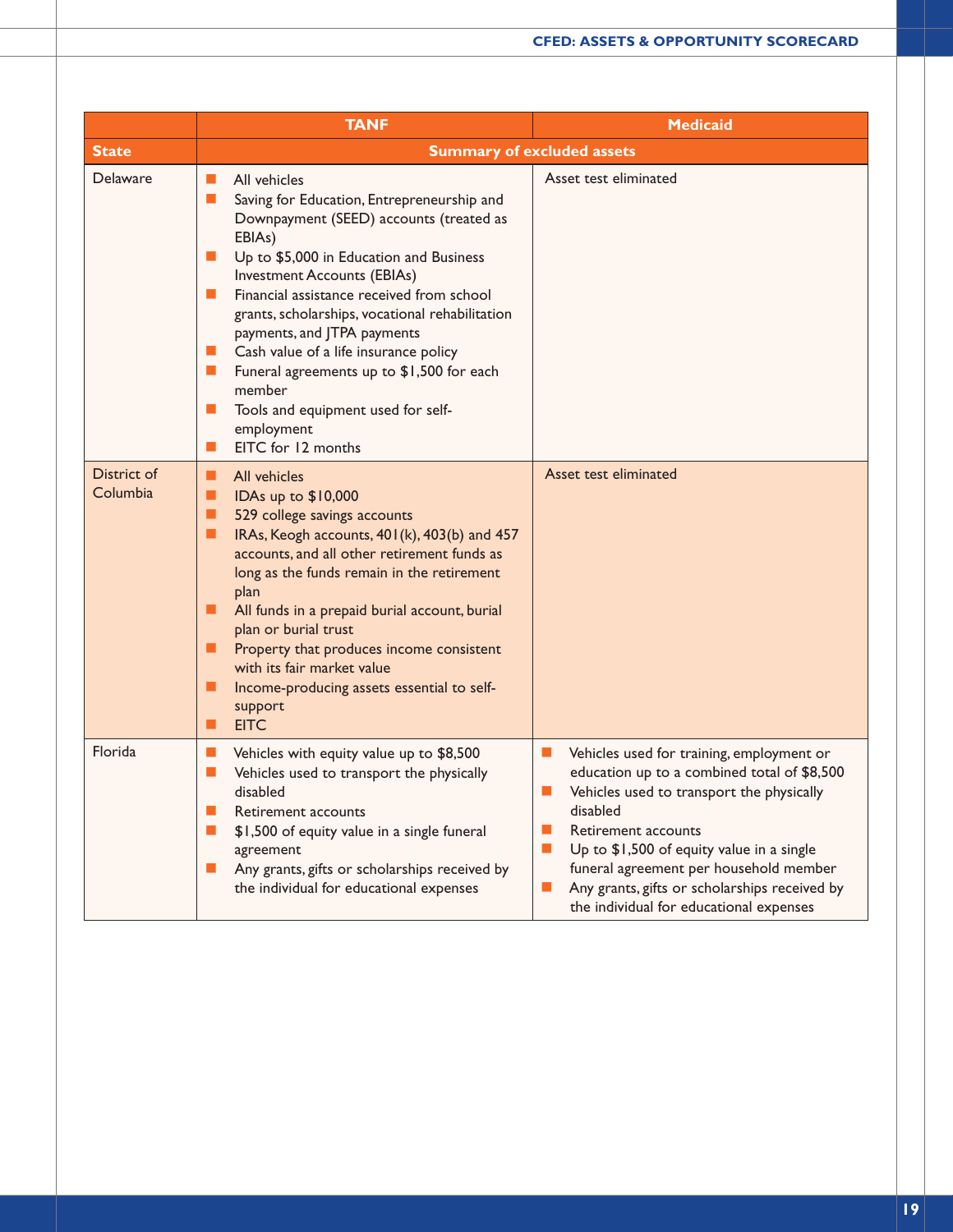|                         | <b>TANF</b>                                                                                                                                                                                                                                                                                                                                                                                                                                                                                                                                                                                                                                            | <b>Medicaid</b>                                                                                                                                                                                                                                                                                                                                                                                                                                        |
|-------------------------|--------------------------------------------------------------------------------------------------------------------------------------------------------------------------------------------------------------------------------------------------------------------------------------------------------------------------------------------------------------------------------------------------------------------------------------------------------------------------------------------------------------------------------------------------------------------------------------------------------------------------------------------------------|--------------------------------------------------------------------------------------------------------------------------------------------------------------------------------------------------------------------------------------------------------------------------------------------------------------------------------------------------------------------------------------------------------------------------------------------------------|
| <b>State</b>            |                                                                                                                                                                                                                                                                                                                                                                                                                                                                                                                                                                                                                                                        | <b>Summary of excluded assets</b>                                                                                                                                                                                                                                                                                                                                                                                                                      |
| Delaware                | All vehicles<br><b>CONTRACT</b><br>$\Box$<br>Saving for Education, Entrepreneurship and<br>Downpayment (SEED) accounts (treated as<br>EBIAs)<br>$\mathcal{L}_{\mathcal{A}}$<br>Up to \$5,000 in Education and Business<br><b>Investment Accounts (EBIAs)</b><br>Financial assistance received from school<br>$\mathbb{R}^n$<br>grants, scholarships, vocational rehabilitation<br>payments, and JTPA payments<br>$\mathcal{L}_{\mathcal{A}}$<br>Cash value of a life insurance policy<br>Funeral agreements up to \$1,500 for each<br>$\Box$<br>member<br>Tools and equipment used for self-<br>$\Box$<br>employment<br>EITC for 12 months<br><b>T</b> | Asset test eliminated                                                                                                                                                                                                                                                                                                                                                                                                                                  |
| District of<br>Columbia | ■<br>All vehicles<br>■<br>IDAs up to \$10,000<br>■<br>529 college savings accounts<br>■<br>IRAs, Keogh accounts, 401(k), 403(b) and 457<br>accounts, and all other retirement funds as<br>long as the funds remain in the retirement<br>plan<br>■<br>All funds in a prepaid burial account, burial<br>plan or burial trust<br>ш<br>Property that produces income consistent<br>with its fair market value<br>п<br>Income-producing assets essential to self-<br>support<br>п<br><b>EITC</b>                                                                                                                                                            | Asset test eliminated                                                                                                                                                                                                                                                                                                                                                                                                                                  |
| Florida                 | $\mathbb{R}^n$<br>Vehicles with equity value up to \$8,500<br>$\Box$<br>Vehicles used to transport the physically<br>disabled<br>$\blacksquare$<br>Retirement accounts<br>$\mathcal{L}_{\mathcal{A}}$<br>\$1,500 of equity value in a single funeral<br>agreement<br>$\mathbb{R}^n$<br>Any grants, gifts or scholarships received by<br>the individual for educational expenses                                                                                                                                                                                                                                                                        | Vehicles used for training, employment or<br>$\mathcal{L}_{\mathcal{A}}$<br>education up to a combined total of \$8,500<br>$\mathbb{R}^n$<br>Vehicles used to transport the physically<br>disabled<br><b>The State</b><br>Retirement accounts<br>$\mathbf{r}$<br>Up to \$1,500 of equity value in a single<br>funeral agreement per household member<br>Any grants, gifts or scholarships received by<br>u.<br>the individual for educational expenses |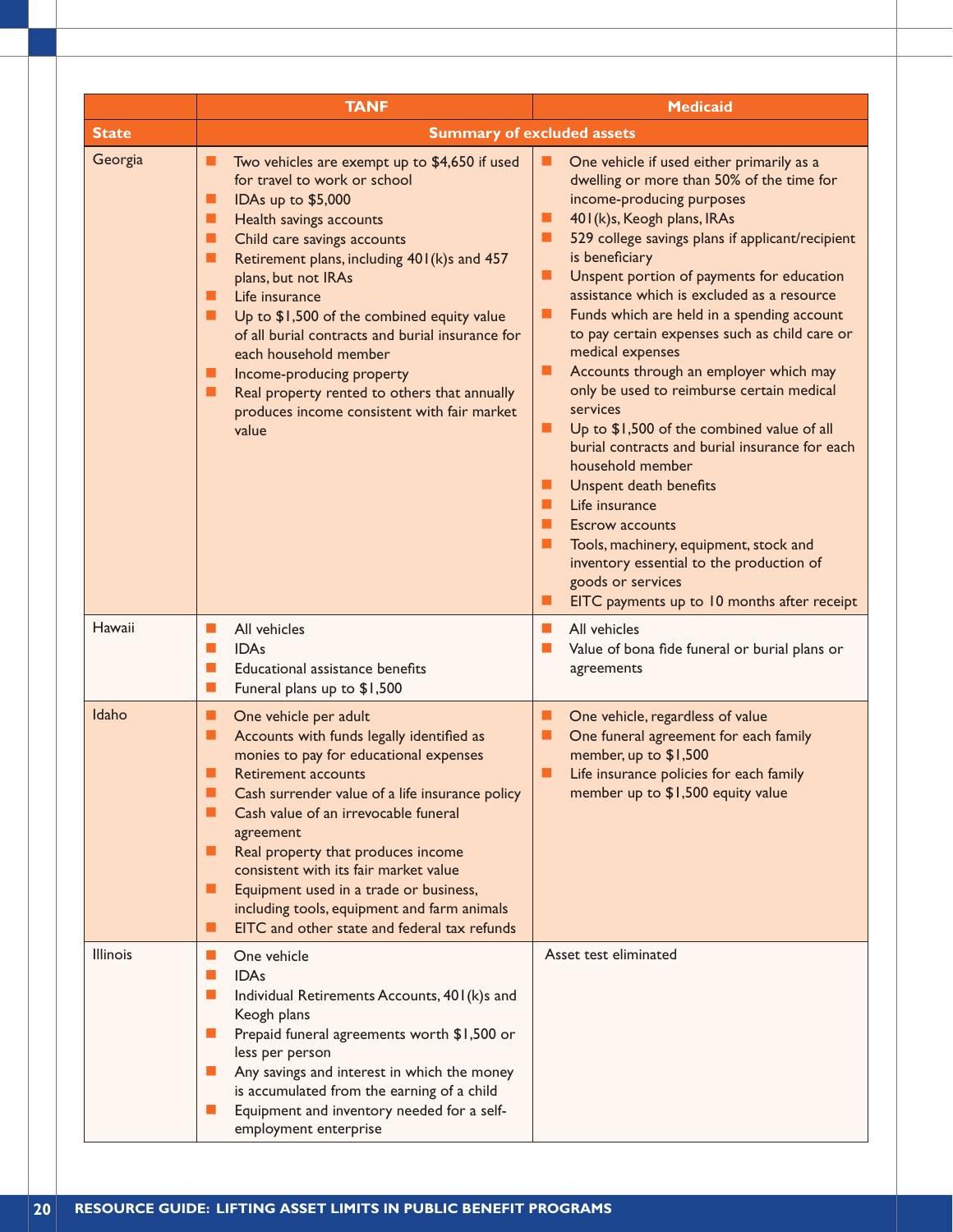|                 | <b>TANF</b>                                                                                                                                                                                                                                                                                                                                                                                                                                                                                                                                                        | <b>Medicaid</b>                                                                                                                                                                                                                                                                                                                                                                                                                                                                                                                                                                                                                                                                                                                                                                                                                                                                                                                                 |
|-----------------|--------------------------------------------------------------------------------------------------------------------------------------------------------------------------------------------------------------------------------------------------------------------------------------------------------------------------------------------------------------------------------------------------------------------------------------------------------------------------------------------------------------------------------------------------------------------|-------------------------------------------------------------------------------------------------------------------------------------------------------------------------------------------------------------------------------------------------------------------------------------------------------------------------------------------------------------------------------------------------------------------------------------------------------------------------------------------------------------------------------------------------------------------------------------------------------------------------------------------------------------------------------------------------------------------------------------------------------------------------------------------------------------------------------------------------------------------------------------------------------------------------------------------------|
| <b>State</b>    |                                                                                                                                                                                                                                                                                                                                                                                                                                                                                                                                                                    | <b>Summary of excluded assets</b>                                                                                                                                                                                                                                                                                                                                                                                                                                                                                                                                                                                                                                                                                                                                                                                                                                                                                                               |
| Georgia         | Two vehicles are exempt up to \$4,650 if used<br>ш<br>for travel to work or school<br>■<br>IDAs up to \$5,000<br>■<br>Health savings accounts<br>Child care savings accounts<br>■<br>■<br>Retirement plans, including 401(k)s and 457<br>plans, but not IRAs<br>Life insurance<br>■<br>■<br>Up to \$1,500 of the combined equity value<br>of all burial contracts and burial insurance for<br>each household member<br>ш<br>Income-producing property<br>Real property rented to others that annually<br>ш<br>produces income consistent with fair market<br>value | One vehicle if used either primarily as a<br>dwelling or more than 50% of the time for<br>income-producing purposes<br>401 (k)s, Keogh plans, IRAs<br>■<br>п<br>529 college savings plans if applicant/recipient<br>is beneficiary<br>Unspent portion of payments for education<br>п<br>assistance which is excluded as a resource<br>Funds which are held in a spending account<br>ш<br>to pay certain expenses such as child care or<br>medical expenses<br>Accounts through an employer which may<br>п<br>only be used to reimburse certain medical<br>services<br>п<br>Up to \$1,500 of the combined value of all<br>burial contracts and burial insurance for each<br>household member<br>ш<br>Unspent death benefits<br>Life insurance<br>п<br><b>Escrow accounts</b><br>Tools, machinery, equipment, stock and<br>ш<br>inventory essential to the production of<br>goods or services<br>EITC payments up to 10 months after receipt<br>п |
| Hawaii          | All vehicles<br>$\blacksquare$<br>П<br><b>IDAs</b><br>Educational assistance benefits<br>$\blacksquare$<br>$\blacksquare$<br>Funeral plans up to \$1,500                                                                                                                                                                                                                                                                                                                                                                                                           | All vehicles<br><b>The State</b><br>Value of bona fide funeral or burial plans or<br>ш<br>agreements                                                                                                                                                                                                                                                                                                                                                                                                                                                                                                                                                                                                                                                                                                                                                                                                                                            |
| Idaho           | One vehicle per adult<br>ш<br>Accounts with funds legally identified as<br>■<br>monies to pay for educational expenses<br>п<br><b>Retirement accounts</b><br>Cash surrender value of a life insurance policy<br>■<br>Cash value of an irrevocable funeral<br>■<br>agreement<br>Real property that produces income<br>ш<br>consistent with its fair market value<br>Equipment used in a trade or business,<br>■<br>including tools, equipment and farm animals<br>EITC and other state and federal tax refunds<br>■                                                 | One vehicle, regardless of value<br>▬<br>One funeral agreement for each family<br>п<br>member, up to \$1,500<br>■<br>Life insurance policies for each family<br>member up to \$1,500 equity value                                                                                                                                                                                                                                                                                                                                                                                                                                                                                                                                                                                                                                                                                                                                               |
| <b>Illinois</b> | $\Box$<br>One vehicle<br><b>IDAs</b><br>$\blacksquare$<br>Individual Retirements Accounts, 401(k)s and<br>L.<br>Keogh plans<br>Prepaid funeral agreements worth \$1,500 or<br>ш<br>less per person<br>Any savings and interest in which the money<br>ш<br>is accumulated from the earning of a child<br>Equipment and inventory needed for a self-<br>L.<br>employment enterprise                                                                                                                                                                                  | Asset test eliminated                                                                                                                                                                                                                                                                                                                                                                                                                                                                                                                                                                                                                                                                                                                                                                                                                                                                                                                           |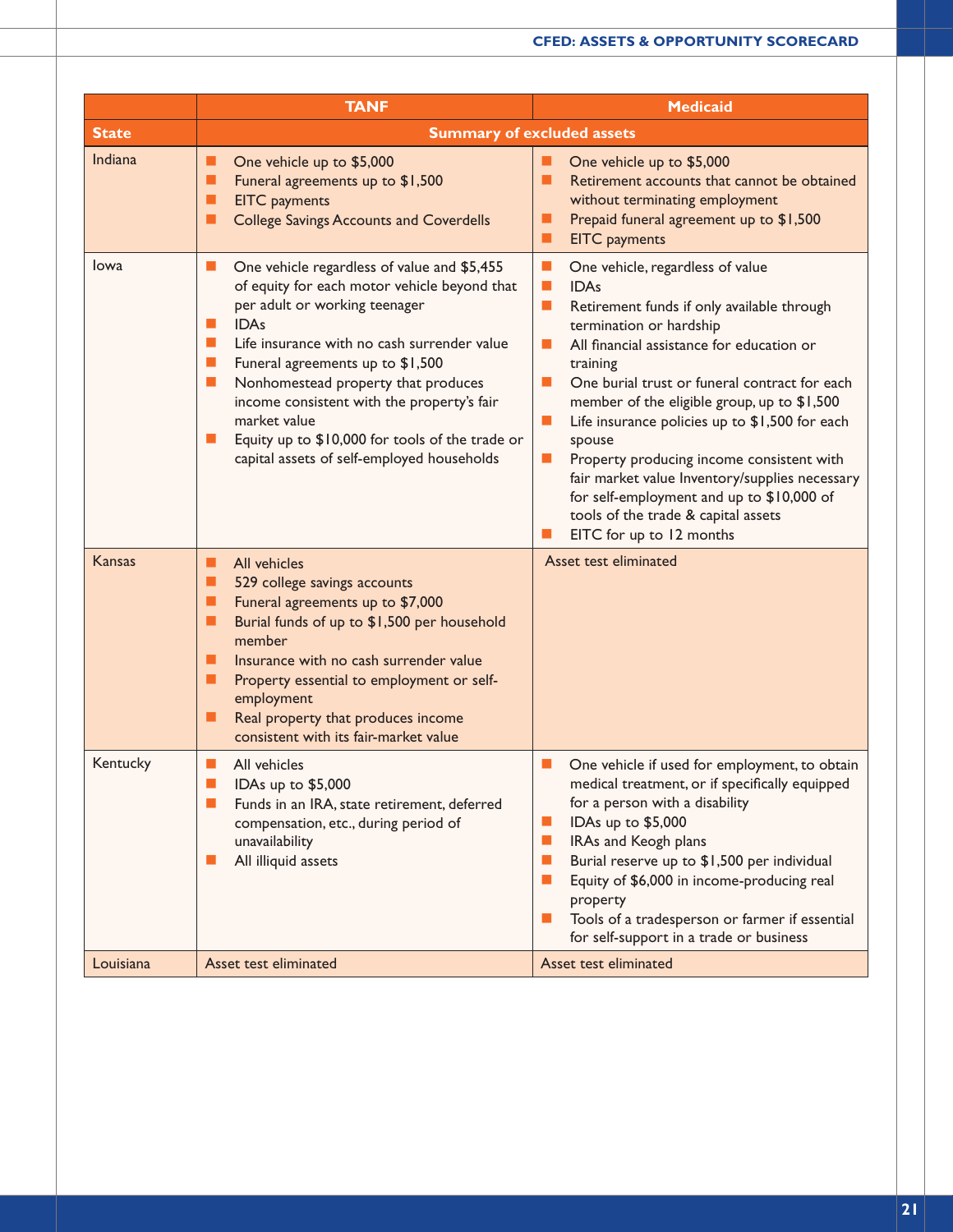|              | <b>TANF</b>                                                                                                                                                                                                                                                                                                                                                                                                                                                                                     | <b>Medicaid</b>                                                                                                                                                                                                                                                                                                                                                                                                                                                                                                                                                                                                                                                  |  |  |  |
|--------------|-------------------------------------------------------------------------------------------------------------------------------------------------------------------------------------------------------------------------------------------------------------------------------------------------------------------------------------------------------------------------------------------------------------------------------------------------------------------------------------------------|------------------------------------------------------------------------------------------------------------------------------------------------------------------------------------------------------------------------------------------------------------------------------------------------------------------------------------------------------------------------------------------------------------------------------------------------------------------------------------------------------------------------------------------------------------------------------------------------------------------------------------------------------------------|--|--|--|
| <b>State</b> |                                                                                                                                                                                                                                                                                                                                                                                                                                                                                                 | <b>Summary of excluded assets</b>                                                                                                                                                                                                                                                                                                                                                                                                                                                                                                                                                                                                                                |  |  |  |
| Indiana      | ■<br>One vehicle up to \$5,000<br>Funeral agreements up to \$1,500<br>п<br><b>EITC</b> payments<br>п<br><b>College Savings Accounts and Coverdells</b><br>■                                                                                                                                                                                                                                                                                                                                     | One vehicle up to \$5,000<br>Retirement accounts that cannot be obtained<br>ш<br>without terminating employment<br>Prepaid funeral agreement up to \$1,500<br>ш<br><b>EITC</b> payments<br>▬                                                                                                                                                                                                                                                                                                                                                                                                                                                                     |  |  |  |
| <b>lowa</b>  | One vehicle regardless of value and \$5,455<br>ш<br>of equity for each motor vehicle beyond that<br>per adult or working teenager<br><b>IDAs</b><br><b>Co</b><br><b>Co</b><br>Life insurance with no cash surrender value<br>$\mathbb{R}^n$<br>Funeral agreements up to \$1,500<br>Nonhomestead property that produces<br>ш<br>income consistent with the property's fair<br>market value<br>Equity up to \$10,000 for tools of the trade or<br>ш<br>capital assets of self-employed households | $\mathcal{L}_{\mathcal{A}}$<br>One vehicle, regardless of value<br>$\mathbb{R}^n$<br><b>IDAs</b><br>$\blacksquare$<br>Retirement funds if only available through<br>termination or hardship<br>All financial assistance for education or<br>ш<br>training<br>One burial trust or funeral contract for each<br>ш<br>member of the eligible group, up to \$1,500<br>Life insurance policies up to \$1,500 for each<br>ш<br>spouse<br>$\blacksquare$<br>Property producing income consistent with<br>fair market value Inventory/supplies necessary<br>for self-employment and up to \$10,000 of<br>tools of the trade & capital assets<br>EITC for up to 12 months |  |  |  |
| Kansas       | All vehicles<br>■<br>■<br>529 college savings accounts<br>Funeral agreements up to \$7,000<br>п<br>Burial funds of up to \$1,500 per household<br>п<br>member<br>Insurance with no cash surrender value<br>п<br>■<br>Property essential to employment or self-<br>employment<br>Real property that produces income<br>■<br>consistent with its fair-market value                                                                                                                                | Asset test eliminated                                                                                                                                                                                                                                                                                                                                                                                                                                                                                                                                                                                                                                            |  |  |  |
| Kentucky     | All vehicles<br>ш<br>IDAs up to \$5,000<br>ш<br>Funds in an IRA, state retirement, deferred<br>compensation, etc., during period of<br>unavailability<br>All illiquid assets<br>ш                                                                                                                                                                                                                                                                                                               | One vehicle if used for employment, to obtain<br>ш<br>medical treatment, or if specifically equipped<br>for a person with a disability<br>IDAs up to \$5,000<br>IRAs and Keogh plans<br>ш<br>Burial reserve up to \$1,500 per individual<br>ш<br>Equity of \$6,000 in income-producing real<br>ш<br>property<br>Tools of a tradesperson or farmer if essential<br>ш<br>for self-support in a trade or business                                                                                                                                                                                                                                                   |  |  |  |
| Louisiana    | Asset test eliminated                                                                                                                                                                                                                                                                                                                                                                                                                                                                           | Asset test eliminated                                                                                                                                                                                                                                                                                                                                                                                                                                                                                                                                                                                                                                            |  |  |  |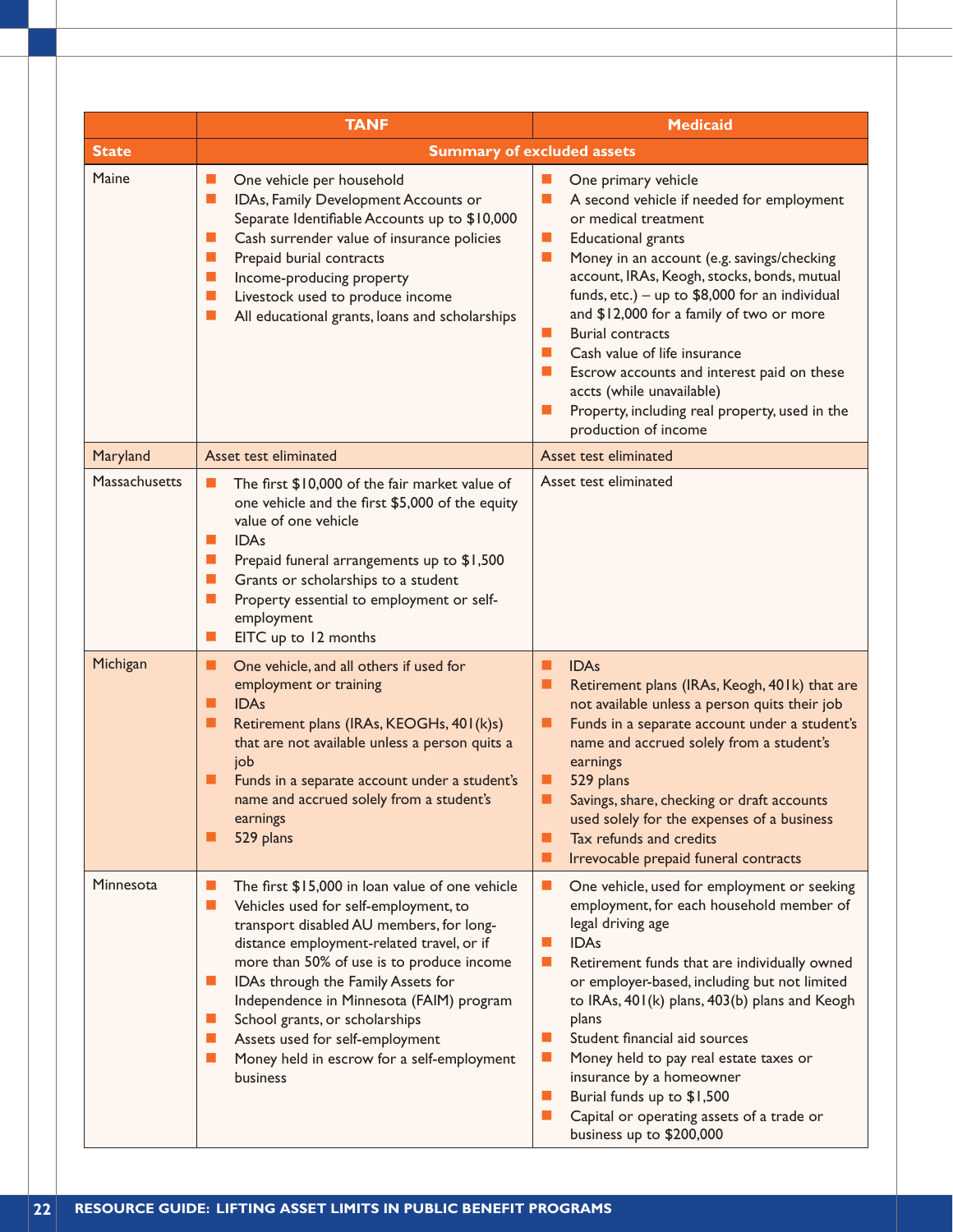|               | <b>TANF</b>                                                                                                                                                                                                                                                                                                                                                                                                                                                                                              | <b>Medicaid</b>                                                                                                                                                                                                                                                                                                                                                                                                                                                                                                                                                         |
|---------------|----------------------------------------------------------------------------------------------------------------------------------------------------------------------------------------------------------------------------------------------------------------------------------------------------------------------------------------------------------------------------------------------------------------------------------------------------------------------------------------------------------|-------------------------------------------------------------------------------------------------------------------------------------------------------------------------------------------------------------------------------------------------------------------------------------------------------------------------------------------------------------------------------------------------------------------------------------------------------------------------------------------------------------------------------------------------------------------------|
| <b>State</b>  |                                                                                                                                                                                                                                                                                                                                                                                                                                                                                                          | <b>Summary of excluded assets</b>                                                                                                                                                                                                                                                                                                                                                                                                                                                                                                                                       |
| Maine         | One vehicle per household<br>ш<br>$\blacksquare$<br>IDAs, Family Development Accounts or<br>Separate Identifiable Accounts up to \$10,000<br>Cash surrender value of insurance policies<br>$\blacksquare$<br>Prepaid burial contracts<br>$\Box$<br>$\mathbb{R}^n$<br>Income-producing property<br>Livestock used to produce income<br>$\mathbb{R}^n$<br>$\mathcal{L}_{\mathcal{A}}$<br>All educational grants, loans and scholarships                                                                    | One primary vehicle<br>A second vehicle if needed for employment<br>or medical treatment<br><b>Educational grants</b><br><b>COL</b><br>Money in an account (e.g. savings/checking<br>ш<br>account, IRAs, Keogh, stocks, bonds, mutual<br>funds, etc.) - up to $$8,000$ for an individual<br>and \$12,000 for a family of two or more<br><b>Burial contracts</b><br>Cash value of life insurance<br><b>COL</b><br>Escrow accounts and interest paid on these<br>accts (while unavailable)<br>Property, including real property, used in the<br>ш<br>production of income |
| Maryland      | Asset test eliminated                                                                                                                                                                                                                                                                                                                                                                                                                                                                                    | Asset test eliminated                                                                                                                                                                                                                                                                                                                                                                                                                                                                                                                                                   |
| Massachusetts | The first \$10,000 of the fair market value of<br>ш<br>one vehicle and the first \$5,000 of the equity<br>value of one vehicle<br><b>IDAs</b><br>$\Box$<br>L.<br>Prepaid funeral arrangements up to \$1,500<br>Grants or scholarships to a student<br>$\Box$<br>Property essential to employment or self-<br>ш<br>employment<br>EITC up to 12 months<br>ш                                                                                                                                                | Asset test eliminated                                                                                                                                                                                                                                                                                                                                                                                                                                                                                                                                                   |
| Michigan      | One vehicle, and all others if used for<br>ш<br>employment or training<br><b>IDAs</b><br>■<br>Retirement plans (IRAs, KEOGHs, 401(k)s)<br>ш<br>that are not available unless a person quits a<br>job<br>Funds in a separate account under a student's<br>▉<br>name and accrued solely from a student's<br>earnings<br>529 plans<br>▁                                                                                                                                                                     | <b>IDAs</b><br>Retirement plans (IRAs, Keogh, 401k) that are<br>not available unless a person quits their job<br>Funds in a separate account under a student's<br>name and accrued solely from a student's<br>earnings<br>529 plans<br>Savings, share, checking or draft accounts<br>used solely for the expenses of a business<br>Tax refunds and credits<br>п<br>Irrevocable prepaid funeral contracts                                                                                                                                                                |
| Minnesota     | The first \$15,000 in loan value of one vehicle<br>L.<br>$\blacksquare$<br>Vehicles used for self-employment, to<br>transport disabled AU members, for long-<br>distance employment-related travel, or if<br>more than 50% of use is to produce income<br>IDAs through the Family Assets for<br>ш<br>Independence in Minnesota (FAIM) program<br>School grants, or scholarships<br>ш<br>Assets used for self-employment<br>ш<br>$\mathbb{R}^n$<br>Money held in escrow for a self-employment<br>business | One vehicle, used for employment or seeking<br>ш<br>employment, for each household member of<br>legal driving age<br><b>IDAs</b><br>ш<br>Retirement funds that are individually owned<br>ш<br>or employer-based, including but not limited<br>to IRAs, 401(k) plans, 403(b) plans and Keogh<br>plans<br>Student financial aid sources<br>a a s<br>Money held to pay real estate taxes or<br>ш<br>insurance by a homeowner<br>Burial funds up to \$1,500<br>ш<br>Capital or operating assets of a trade or<br>ш<br>business up to \$200,000                              |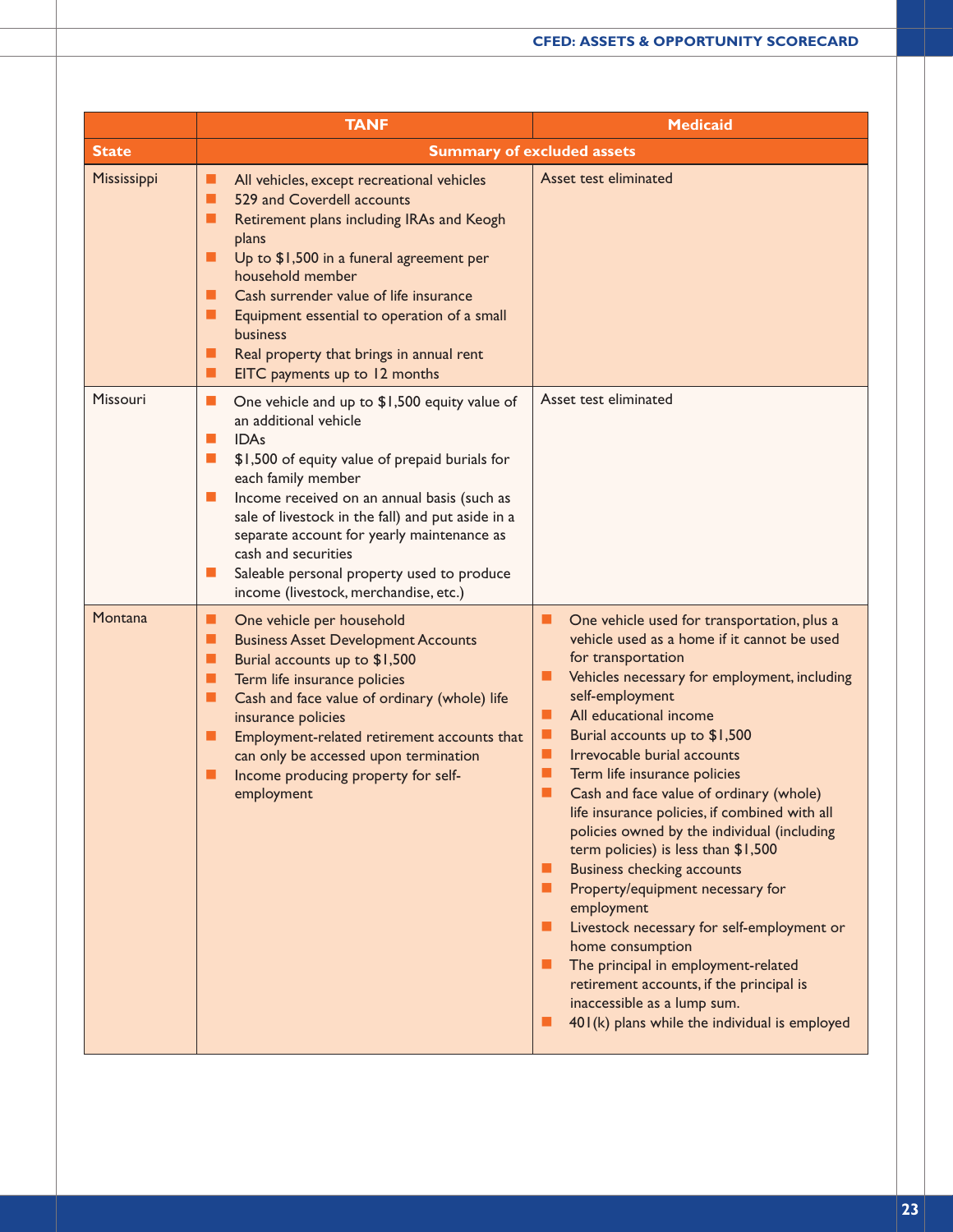|              | <b>TANF</b>                                                                                                                                                                                                                                                                                                                                                                                                                                                                      | <b>Medicaid</b>                                                                                                                                                                                                                                                                                                                                                                                                                                                                                                                                                                                                                                                                                                                                                                                                                                                |
|--------------|----------------------------------------------------------------------------------------------------------------------------------------------------------------------------------------------------------------------------------------------------------------------------------------------------------------------------------------------------------------------------------------------------------------------------------------------------------------------------------|----------------------------------------------------------------------------------------------------------------------------------------------------------------------------------------------------------------------------------------------------------------------------------------------------------------------------------------------------------------------------------------------------------------------------------------------------------------------------------------------------------------------------------------------------------------------------------------------------------------------------------------------------------------------------------------------------------------------------------------------------------------------------------------------------------------------------------------------------------------|
| <b>State</b> |                                                                                                                                                                                                                                                                                                                                                                                                                                                                                  | <b>Summary of excluded assets</b>                                                                                                                                                                                                                                                                                                                                                                                                                                                                                                                                                                                                                                                                                                                                                                                                                              |
| Mississippi  | All vehicles, except recreational vehicles<br>ш<br>529 and Coverdell accounts<br>П<br>Retirement plans including IRAs and Keogh<br>ш<br>plans<br>Up to \$1,500 in a funeral agreement per<br>п<br>household member<br>Cash surrender value of life insurance<br>ш<br>п<br>Equipment essential to operation of a small<br><b>business</b><br>Real property that brings in annual rent<br>ш<br>EITC payments up to 12 months<br>ш                                                  | Asset test eliminated                                                                                                                                                                                                                                                                                                                                                                                                                                                                                                                                                                                                                                                                                                                                                                                                                                          |
| Missouri     | ш<br>One vehicle and up to \$1,500 equity value of<br>an additional vehicle<br><b>IDAs</b><br>П<br>$\blacksquare$<br>\$1,500 of equity value of prepaid burials for<br>each family member<br>Income received on an annual basis (such as<br>$\mathbb{R}^n$<br>sale of livestock in the fall) and put aside in a<br>separate account for yearly maintenance as<br>cash and securities<br>Saleable personal property used to produce<br>ш<br>income (livestock, merchandise, etc.) | Asset test eliminated                                                                                                                                                                                                                                                                                                                                                                                                                                                                                                                                                                                                                                                                                                                                                                                                                                          |
| Montana      | One vehicle per household<br>ш<br><b>Business Asset Development Accounts</b><br>■<br>Burial accounts up to \$1,500<br>п<br>п<br>Term life insurance policies<br>п<br>Cash and face value of ordinary (whole) life<br>insurance policies<br>п<br>Employment-related retirement accounts that<br>can only be accessed upon termination<br>п<br>Income producing property for self-<br>employment                                                                                   | One vehicle used for transportation, plus a<br>▬<br>vehicle used as a home if it cannot be used<br>for transportation<br>Vehicles necessary for employment, including<br>▬<br>self-employment<br>All educational income<br>■<br>п<br>Burial accounts up to \$1,500<br>п<br>Irrevocable burial accounts<br>Term life insurance policies<br>ш<br>п<br>Cash and face value of ordinary (whole)<br>life insurance policies, if combined with all<br>policies owned by the individual (including<br>term policies) is less than \$1,500<br><b>Business checking accounts</b><br>Property/equipment necessary for<br>employment<br>Livestock necessary for self-employment or<br>home consumption<br>The principal in employment-related<br>retirement accounts, if the principal is<br>inaccessible as a lump sum.<br>401(k) plans while the individual is employed |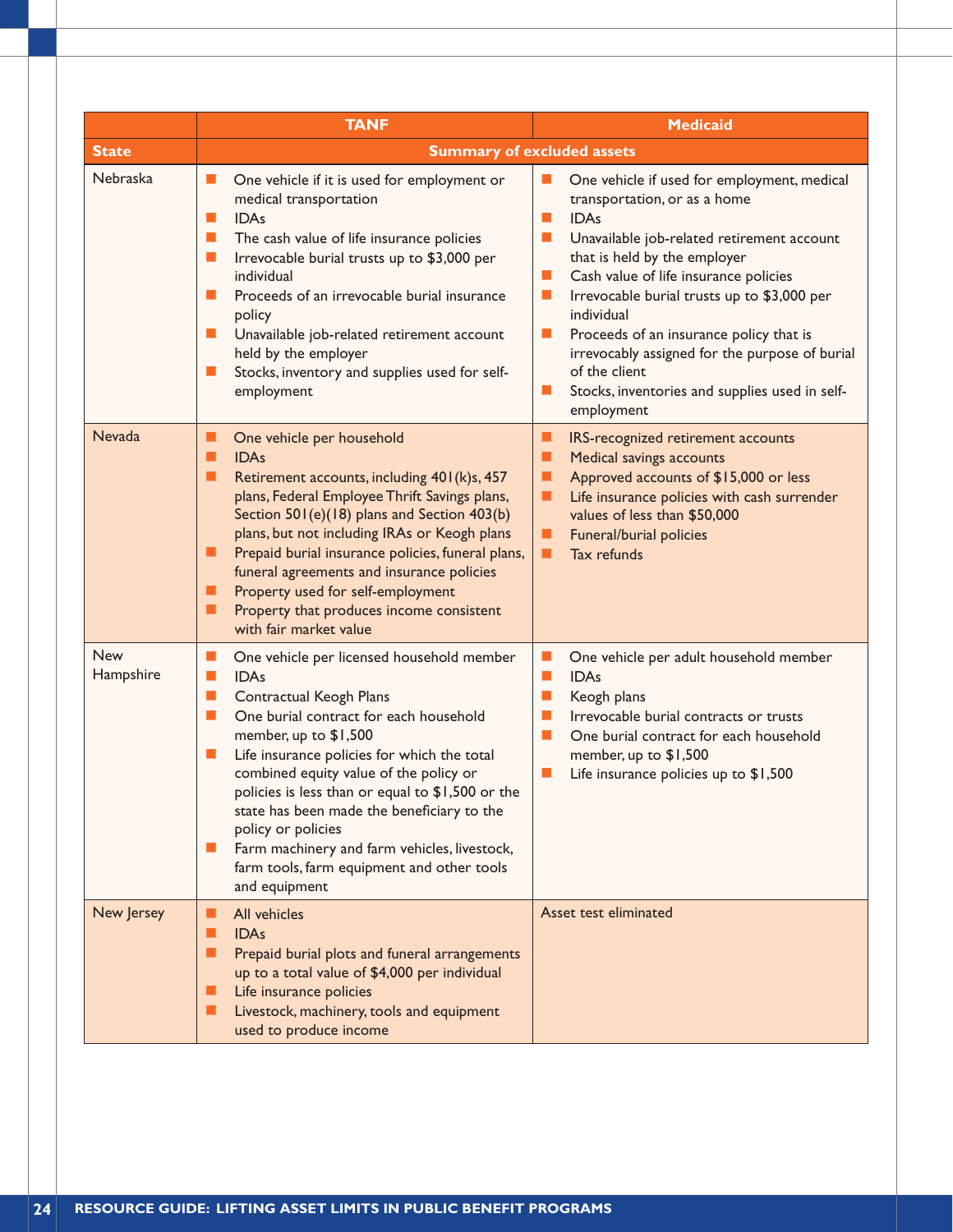|                  | <b>TANF</b>                                                                                                                                                                                                                                                                                                                                                                                                                                                                                                                                    | <b>Medicaid</b>                                                                                                                                                                                                                                                                                                                                                                                                                                                                                         |
|------------------|------------------------------------------------------------------------------------------------------------------------------------------------------------------------------------------------------------------------------------------------------------------------------------------------------------------------------------------------------------------------------------------------------------------------------------------------------------------------------------------------------------------------------------------------|---------------------------------------------------------------------------------------------------------------------------------------------------------------------------------------------------------------------------------------------------------------------------------------------------------------------------------------------------------------------------------------------------------------------------------------------------------------------------------------------------------|
| <b>State</b>     | <b>Summary of excluded assets</b>                                                                                                                                                                                                                                                                                                                                                                                                                                                                                                              |                                                                                                                                                                                                                                                                                                                                                                                                                                                                                                         |
| Nebraska         | One vehicle if it is used for employment or<br>ш<br>medical transportation<br><b>IDAs</b><br>п<br>$\mathbb{R}^n$<br>The cash value of life insurance policies<br>Irrevocable burial trusts up to \$3,000 per<br>п<br>individual<br>Proceeds of an irrevocable burial insurance<br>п<br>policy<br>Unavailable job-related retirement account<br>ш<br>held by the employer<br>Stocks, inventory and supplies used for self-<br>ш<br>employment                                                                                                   | One vehicle if used for employment, medical<br>transportation, or as a home<br><b>IDAs</b><br>ш<br>П<br>Unavailable job-related retirement account<br>that is held by the employer<br>Cash value of life insurance policies<br>$\blacksquare$<br>Irrevocable burial trusts up to \$3,000 per<br>ш<br>individual<br>Proceeds of an insurance policy that is<br>ш<br>irrevocably assigned for the purpose of burial<br>of the client<br>Stocks, inventories and supplies used in self-<br>ш<br>employment |
| <b>Nevada</b>    | One vehicle per household<br>ш<br><b>IDAs</b><br>■<br>Retirement accounts, including 401(k)s, 457<br>■<br>plans, Federal Employee Thrift Savings plans,<br>Section 501(e)(18) plans and Section 403(b)<br>plans, but not including IRAs or Keogh plans<br>Prepaid burial insurance policies, funeral plans,<br>ш<br>funeral agreements and insurance policies<br>Property used for self-employment<br>ш<br>Property that produces income consistent<br>■<br>with fair market value                                                             | ■<br>IRS-recognized retirement accounts<br>■<br><b>Medical savings accounts</b><br>Approved accounts of \$15,000 or less<br>ш<br>Life insurance policies with cash surrender<br>ш<br>values of less than \$50,000<br>Funeral/burial policies<br>ш<br>Tax refunds<br>■                                                                                                                                                                                                                                   |
| New<br>Hampshire | One vehicle per licensed household member<br>ш<br><b>IDAs</b><br>п<br>$\mathcal{L}_{\mathcal{A}}$<br>Contractual Keogh Plans<br>One burial contract for each household<br>п<br>member, up to \$1,500<br>Life insurance policies for which the total<br>ш<br>combined equity value of the policy or<br>policies is less than or equal to \$1,500 or the<br>state has been made the beneficiary to the<br>policy or policies<br>Farm machinery and farm vehicles, livestock,<br>ш<br>farm tools, farm equipment and other tools<br>and equipment | One vehicle per adult household member<br>a.<br><b>IDAs</b><br>п<br>$\blacksquare$<br>Keogh plans<br>Irrevocable burial contracts or trusts<br>П<br>One burial contract for each household<br>п<br>member, up to \$1,500<br>$\mathbb{R}^n$<br>Life insurance policies up to \$1,500                                                                                                                                                                                                                     |
| New Jersey       | All vehicles<br>ш<br><b>IDAs</b><br>п<br>п<br>Prepaid burial plots and funeral arrangements<br>up to a total value of \$4,000 per individual<br>Life insurance policies<br>ш<br>Livestock, machinery, tools and equipment<br>ш<br>used to produce income                                                                                                                                                                                                                                                                                       | Asset test eliminated                                                                                                                                                                                                                                                                                                                                                                                                                                                                                   |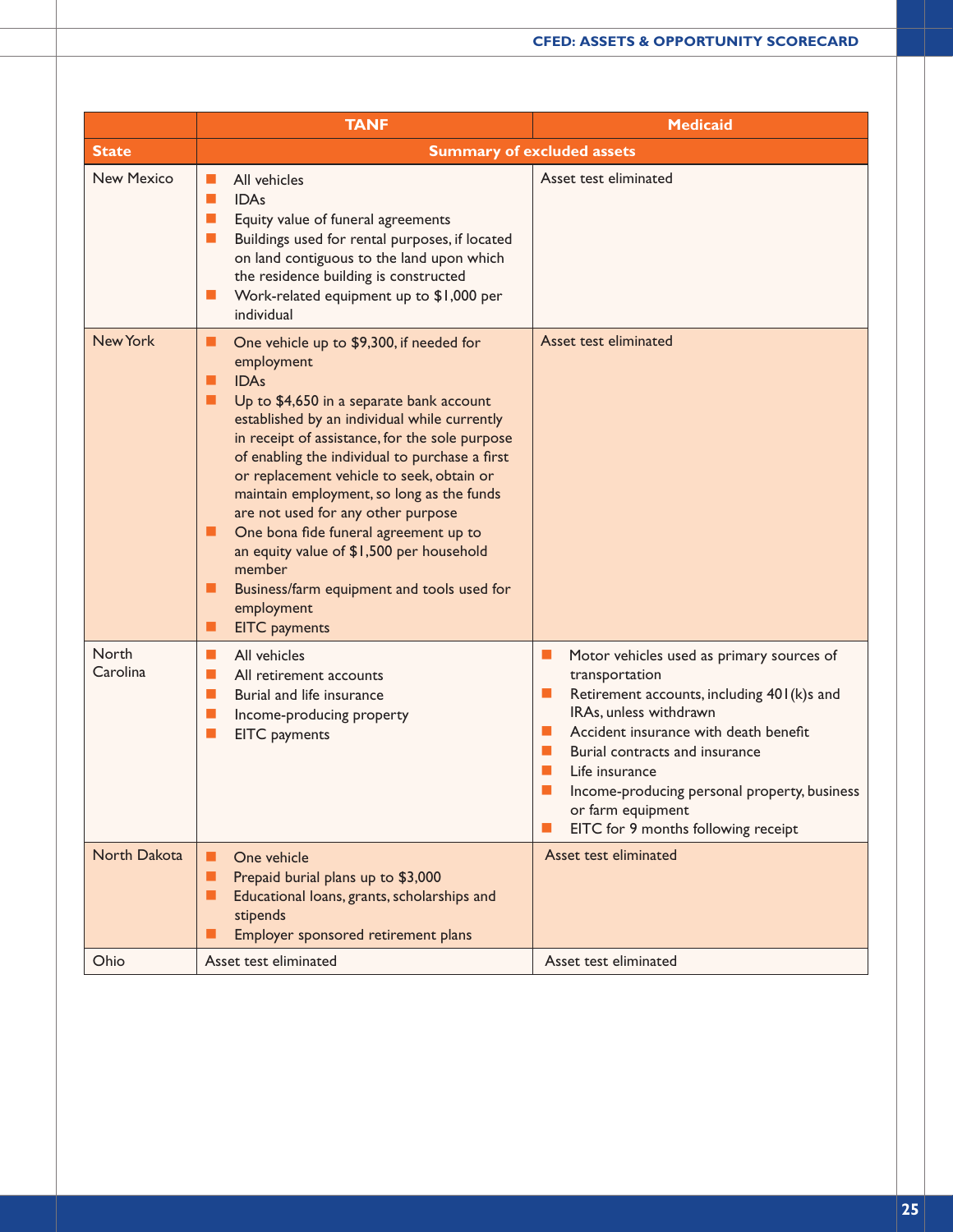|                   | <b>TANF</b>                                                                                                                                                                                                                                                                                                                                                                                                                                                                                                                                                                                                            | <b>Medicaid</b>                                                                                                                                                                                                                                                                                                                                                                                                                                                         |
|-------------------|------------------------------------------------------------------------------------------------------------------------------------------------------------------------------------------------------------------------------------------------------------------------------------------------------------------------------------------------------------------------------------------------------------------------------------------------------------------------------------------------------------------------------------------------------------------------------------------------------------------------|-------------------------------------------------------------------------------------------------------------------------------------------------------------------------------------------------------------------------------------------------------------------------------------------------------------------------------------------------------------------------------------------------------------------------------------------------------------------------|
| <b>State</b>      | <b>Summary of excluded assets</b>                                                                                                                                                                                                                                                                                                                                                                                                                                                                                                                                                                                      |                                                                                                                                                                                                                                                                                                                                                                                                                                                                         |
| <b>New Mexico</b> | All vehicles<br>П<br><b>IDAs</b><br>Ш<br>Equity value of funeral agreements<br>ш<br>Buildings used for rental purposes, if located<br>$\blacksquare$<br>on land contiguous to the land upon which<br>the residence building is constructed<br>Work-related equipment up to \$1,000 per<br>$\Box$<br>individual                                                                                                                                                                                                                                                                                                         | Asset test eliminated                                                                                                                                                                                                                                                                                                                                                                                                                                                   |
| New York          | ■<br>One vehicle up to \$9,300, if needed for<br>employment<br><b>IDAs</b><br>■<br>Up to \$4,650 in a separate bank account<br>H<br>established by an individual while currently<br>in receipt of assistance, for the sole purpose<br>of enabling the individual to purchase a first<br>or replacement vehicle to seek, obtain or<br>maintain employment, so long as the funds<br>are not used for any other purpose<br>One bona fide funeral agreement up to<br>ш<br>an equity value of \$1,500 per household<br>member<br>■<br>Business/farm equipment and tools used for<br>employment<br><b>EITC</b> payments<br>■ | Asset test eliminated                                                                                                                                                                                                                                                                                                                                                                                                                                                   |
| North<br>Carolina | п<br>All vehicles<br>П<br>All retirement accounts<br>п<br>Burial and life insurance<br>$\blacksquare$<br>Income-producing property<br>$\mathcal{L}_{\mathcal{A}}$<br>EITC payments                                                                                                                                                                                                                                                                                                                                                                                                                                     | $\mathcal{L}_{\mathcal{A}}$<br>Motor vehicles used as primary sources of<br>transportation<br>Retirement accounts, including 401 (k)s and<br>ш<br>IRAs, unless withdrawn<br>Accident insurance with death benefit<br><b>The Second Service</b><br><b>COL</b><br>Burial contracts and insurance<br><b>COL</b><br>Life insurance<br><b>The Second Service</b><br>Income-producing personal property, business<br>or farm equipment<br>EITC for 9 months following receipt |
| North Dakota      | One vehicle<br>■<br>Prepaid burial plans up to \$3,000<br>H<br>Educational loans, grants, scholarships and<br>H<br>stipends<br>Employer sponsored retirement plans<br>ш                                                                                                                                                                                                                                                                                                                                                                                                                                                | Asset test eliminated                                                                                                                                                                                                                                                                                                                                                                                                                                                   |
| Ohio              | Asset test eliminated                                                                                                                                                                                                                                                                                                                                                                                                                                                                                                                                                                                                  | Asset test eliminated                                                                                                                                                                                                                                                                                                                                                                                                                                                   |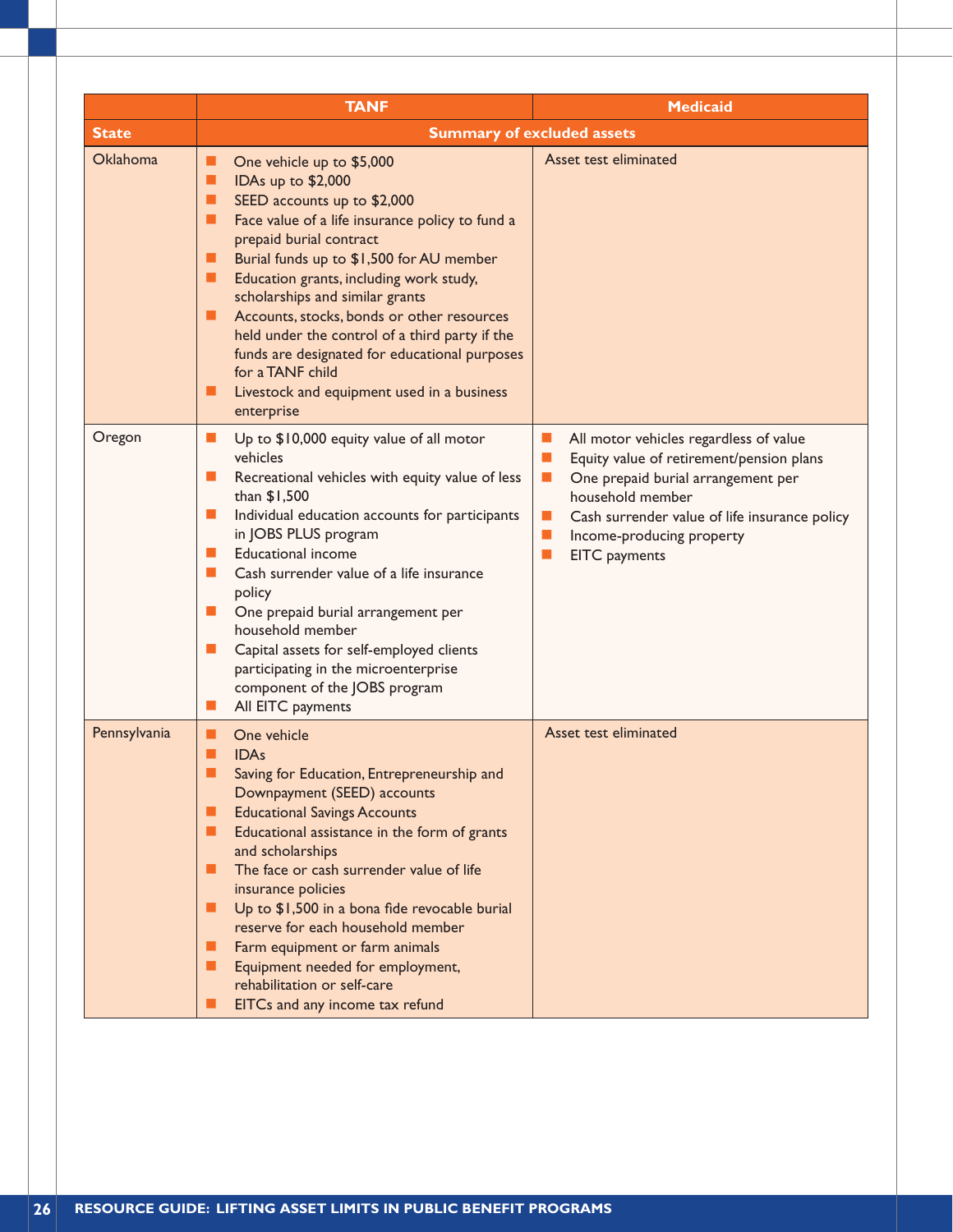|                 | <b>TANF</b>                                                                                                                                                                                                                                                                                                                                                                                                                                                                                                                                                                             | <b>Medicaid</b>                                                                                                                                                                                                                                                                            |
|-----------------|-----------------------------------------------------------------------------------------------------------------------------------------------------------------------------------------------------------------------------------------------------------------------------------------------------------------------------------------------------------------------------------------------------------------------------------------------------------------------------------------------------------------------------------------------------------------------------------------|--------------------------------------------------------------------------------------------------------------------------------------------------------------------------------------------------------------------------------------------------------------------------------------------|
| <b>State</b>    | <b>Summary of excluded assets</b>                                                                                                                                                                                                                                                                                                                                                                                                                                                                                                                                                       |                                                                                                                                                                                                                                                                                            |
| <b>Oklahoma</b> | One vehicle up to \$5,000<br>ш<br>IDAs up to \$2,000<br>■<br>SEED accounts up to \$2,000<br>■<br>Face value of a life insurance policy to fund a<br>■<br>prepaid burial contract<br>Burial funds up to \$1,500 for AU member<br>ш<br>п<br>Education grants, including work study,<br>scholarships and similar grants<br>Accounts, stocks, bonds or other resources<br>п<br>held under the control of a third party if the<br>funds are designated for educational purposes<br>for a TANF child<br>ш<br>Livestock and equipment used in a business<br>enterprise                         | Asset test eliminated                                                                                                                                                                                                                                                                      |
| Oregon          | Up to \$10,000 equity value of all motor<br>ш<br>vehicles<br>Recreational vehicles with equity value of less<br>ш<br>than \$1,500<br>$\mathbb{R}^n$<br>Individual education accounts for participants<br>in JOBS PLUS program<br><b>Educational income</b><br><b>CONTRACTOR</b><br>Cash surrender value of a life insurance<br>$\mathbb{R}^n$<br>policy<br>One prepaid burial arrangement per<br>$\mathbb{R}^n$<br>household member<br>Capital assets for self-employed clients<br>ш<br>participating in the microenterprise<br>component of the JOBS program<br>All EITC payments<br>ш | All motor vehicles regardless of value<br>ш<br>Equity value of retirement/pension plans<br>One prepaid burial arrangement per<br>$\mathbb{R}^n$<br>household member<br>Cash surrender value of life insurance policy<br>ш<br>Income-producing property<br>ш<br>EITC payments<br><b>COL</b> |
| Pennsylvania    | One vehicle<br>ш<br>■<br><b>IDAs</b><br>■<br>Saving for Education, Entrepreneurship and<br>Downpayment (SEED) accounts<br><b>Educational Savings Accounts</b><br>ш<br>■<br>Educational assistance in the form of grants<br>and scholarships<br>The face or cash surrender value of life<br>■<br>insurance policies<br>Up to \$1,500 in a bona fide revocable burial<br>■<br>reserve for each household member<br>■<br>Farm equipment or farm animals<br>Equipment needed for employment,<br>ш<br>rehabilitation or self-care<br>EITCs and any income tax refund<br>▄                    | Asset test eliminated                                                                                                                                                                                                                                                                      |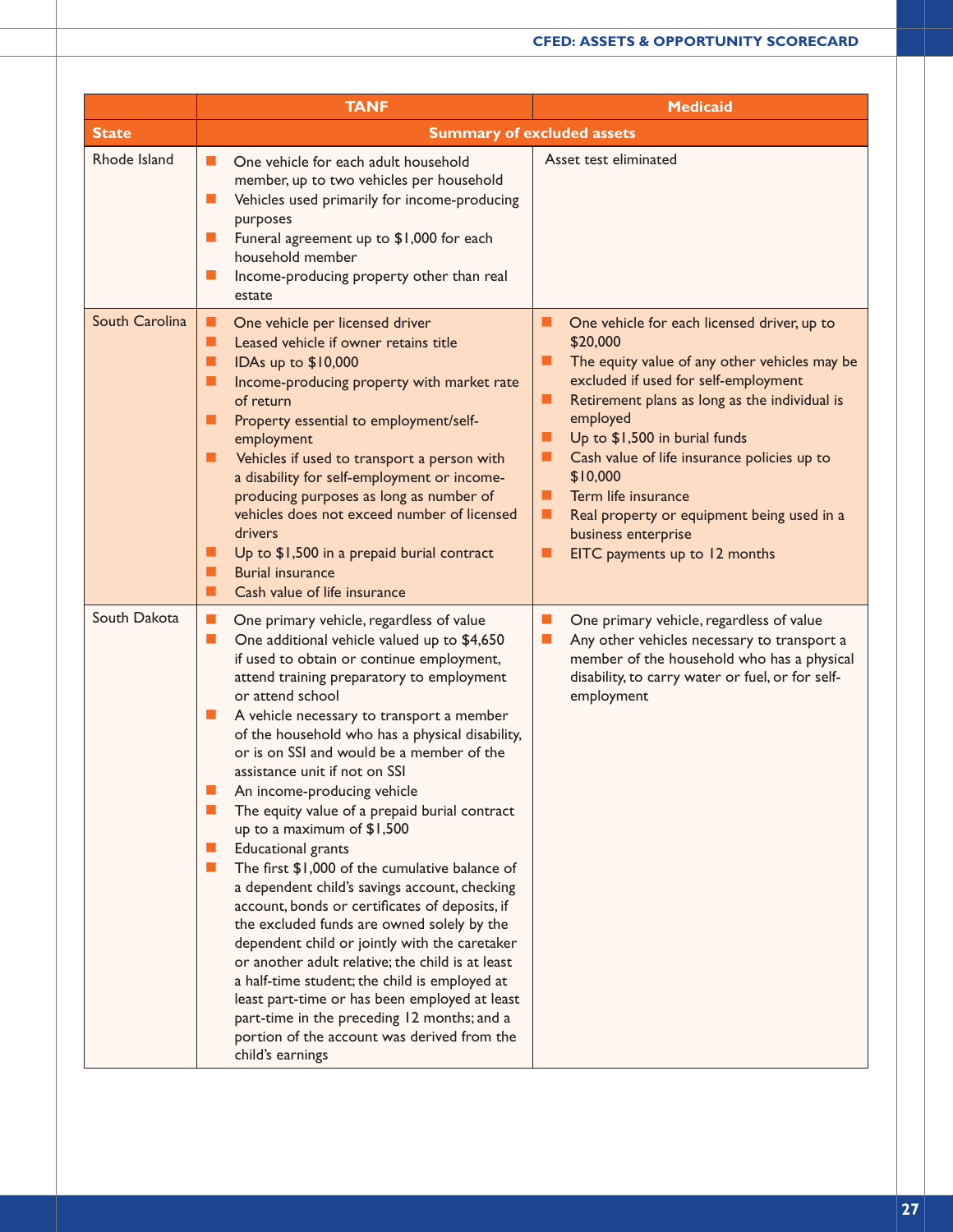|                | <b>TANF</b>                                                                                                                                                                                                                                                                                                                                                                                                                                                                                                                                                                                                                                                                                                                                                                                                                                                                                                                                                                                                                                                                                                                                                  | <b>Medicaid</b>                                                                                                                                                                                                                                                                                                                                                                                                                                            |
|----------------|--------------------------------------------------------------------------------------------------------------------------------------------------------------------------------------------------------------------------------------------------------------------------------------------------------------------------------------------------------------------------------------------------------------------------------------------------------------------------------------------------------------------------------------------------------------------------------------------------------------------------------------------------------------------------------------------------------------------------------------------------------------------------------------------------------------------------------------------------------------------------------------------------------------------------------------------------------------------------------------------------------------------------------------------------------------------------------------------------------------------------------------------------------------|------------------------------------------------------------------------------------------------------------------------------------------------------------------------------------------------------------------------------------------------------------------------------------------------------------------------------------------------------------------------------------------------------------------------------------------------------------|
| <b>State</b>   | <b>Summary of excluded assets</b>                                                                                                                                                                                                                                                                                                                                                                                                                                                                                                                                                                                                                                                                                                                                                                                                                                                                                                                                                                                                                                                                                                                            |                                                                                                                                                                                                                                                                                                                                                                                                                                                            |
| Rhode Island   | One vehicle for each adult household<br>ш<br>member, up to two vehicles per household<br>п<br>Vehicles used primarily for income-producing<br>purposes<br>Funeral agreement up to \$1,000 for each<br>$\mathbb{R}^n$<br>household member<br>Income-producing property other than real<br>ш<br>estate                                                                                                                                                                                                                                                                                                                                                                                                                                                                                                                                                                                                                                                                                                                                                                                                                                                         | Asset test eliminated                                                                                                                                                                                                                                                                                                                                                                                                                                      |
| South Carolina | п<br>One vehicle per licensed driver<br>Leased vehicle if owner retains title<br>П<br>IDAs up to \$10,000<br>п<br>п<br>Income-producing property with market rate<br>of return<br>■<br>Property essential to employment/self-<br>employment<br>Vehicles if used to transport a person with<br>■<br>a disability for self-employment or income-<br>producing purposes as long as number of<br>vehicles does not exceed number of licensed<br>drivers<br>Up to \$1,500 in a prepaid burial contract<br>ш<br><b>Burial insurance</b><br>ш<br>Cash value of life insurance<br>п                                                                                                                                                                                                                                                                                                                                                                                                                                                                                                                                                                                  | One vehicle for each licensed driver, up to<br>\$20,000<br>The equity value of any other vehicles may be<br>excluded if used for self-employment<br>Retirement plans as long as the individual is<br>▬<br>employed<br>Up to \$1,500 in burial funds<br>п<br>Cash value of life insurance policies up to<br>\$10,000<br>Term life insurance<br>п<br>Real property or equipment being used in a<br>business enterprise<br>EITC payments up to 12 months<br>▬ |
| South Dakota   | $\mathbb{R}^n$<br>One primary vehicle, regardless of value<br>$\mathcal{L}_{\mathcal{A}}$<br>One additional vehicle valued up to \$4,650<br>if used to obtain or continue employment,<br>attend training preparatory to employment<br>or attend school<br>A vehicle necessary to transport a member<br>ш<br>of the household who has a physical disability,<br>or is on SSI and would be a member of the<br>assistance unit if not on SSI<br>An income-producing vehicle<br>П<br>The equity value of a prepaid burial contract<br>up to a maximum of \$1,500<br><b>Educational</b> grants<br>$\blacksquare$<br>The first \$1,000 of the cumulative balance of<br><b>CONTRACTOR</b><br>a dependent child's savings account, checking<br>account, bonds or certificates of deposits, if<br>the excluded funds are owned solely by the<br>dependent child or jointly with the caretaker<br>or another adult relative; the child is at least<br>a half-time student; the child is employed at<br>least part-time or has been employed at least<br>part-time in the preceding 12 months; and a<br>portion of the account was derived from the<br>child's earnings | $\mathcal{L}_{\mathcal{A}}$<br>One primary vehicle, regardless of value<br>Any other vehicles necessary to transport a<br>ш<br>member of the household who has a physical<br>disability, to carry water or fuel, or for self-<br>employment                                                                                                                                                                                                                |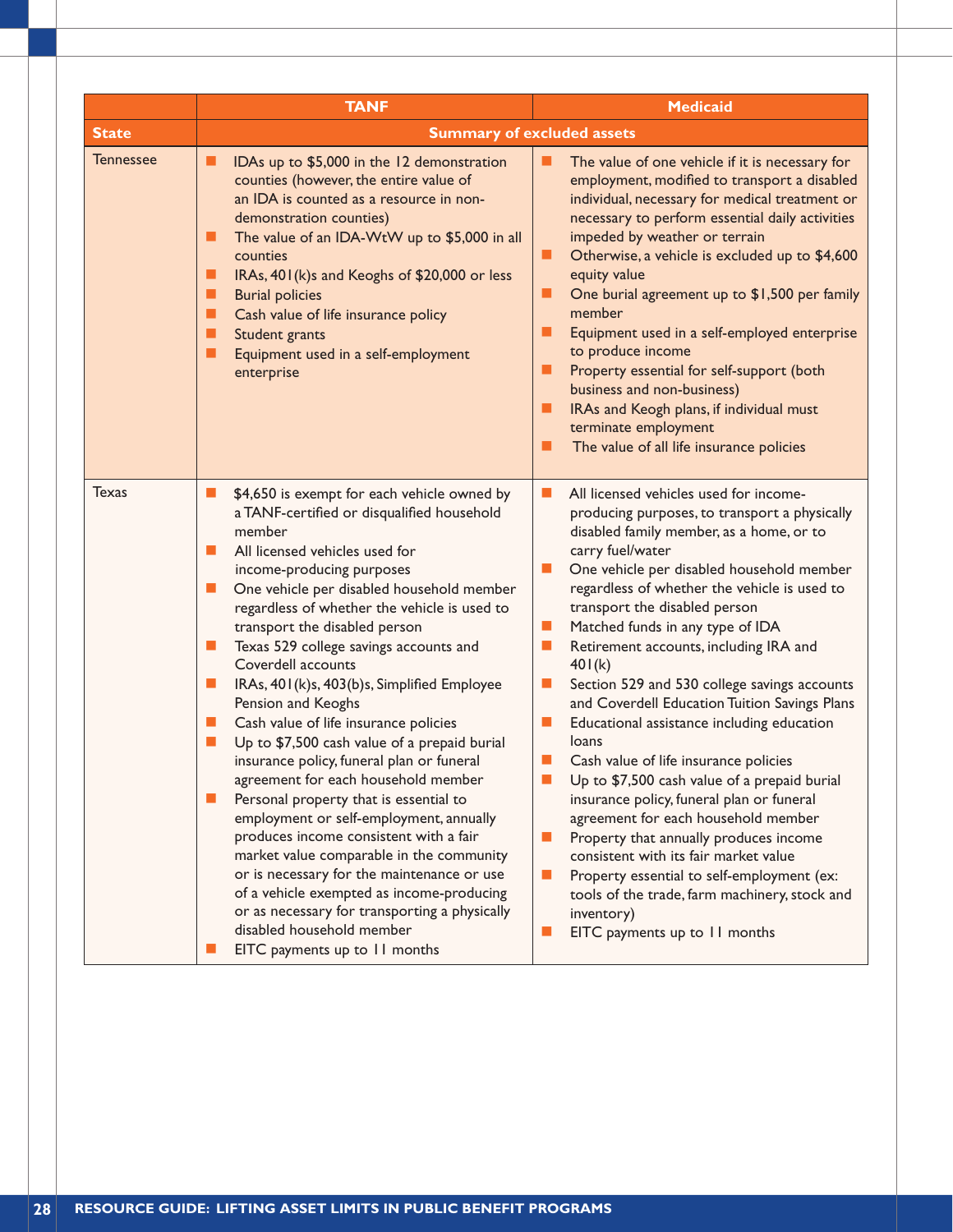|                  | <b>TANF</b>                                                                                                                                                                                                                                                                                                                                                                                                                                                                                                                                                                                                                                                                                                                                                                                                                                                                                                                                                                                                                                     | <b>Medicaid</b>                                                                                                                                                                                                                                                                                                                                                                                                                                                                                                                                                                                                                                                                                                                                                                                                                                                                                                                                                                                                                                                          |
|------------------|-------------------------------------------------------------------------------------------------------------------------------------------------------------------------------------------------------------------------------------------------------------------------------------------------------------------------------------------------------------------------------------------------------------------------------------------------------------------------------------------------------------------------------------------------------------------------------------------------------------------------------------------------------------------------------------------------------------------------------------------------------------------------------------------------------------------------------------------------------------------------------------------------------------------------------------------------------------------------------------------------------------------------------------------------|--------------------------------------------------------------------------------------------------------------------------------------------------------------------------------------------------------------------------------------------------------------------------------------------------------------------------------------------------------------------------------------------------------------------------------------------------------------------------------------------------------------------------------------------------------------------------------------------------------------------------------------------------------------------------------------------------------------------------------------------------------------------------------------------------------------------------------------------------------------------------------------------------------------------------------------------------------------------------------------------------------------------------------------------------------------------------|
| <b>State</b>     | <b>Summary of excluded assets</b>                                                                                                                                                                                                                                                                                                                                                                                                                                                                                                                                                                                                                                                                                                                                                                                                                                                                                                                                                                                                               |                                                                                                                                                                                                                                                                                                                                                                                                                                                                                                                                                                                                                                                                                                                                                                                                                                                                                                                                                                                                                                                                          |
| <b>Tennessee</b> | IDAs up to \$5,000 in the 12 demonstration<br>■<br>counties (however, the entire value of<br>an IDA is counted as a resource in non-<br>demonstration counties)<br>The value of an IDA-WtW up to \$5,000 in all<br>ш<br>counties<br>IRAs, 401(k)s and Keoghs of \$20,000 or less<br>ш<br><b>Burial policies</b><br>ш<br>Cash value of life insurance policy<br>■<br>п<br>Student grants<br>Equipment used in a self-employment<br>п<br>enterprise                                                                                                                                                                                                                                                                                                                                                                                                                                                                                                                                                                                               | The value of one vehicle if it is necessary for<br>H<br>employment, modified to transport a disabled<br>individual, necessary for medical treatment or<br>necessary to perform essential daily activities<br>impeded by weather or terrain<br>Otherwise, a vehicle is excluded up to \$4,600<br>■<br>equity value<br>One burial agreement up to \$1,500 per family<br>■<br>member<br>■<br>Equipment used in a self-employed enterprise<br>to produce income<br>Property essential for self-support (both<br>■<br>business and non-business)<br>IRAs and Keogh plans, if individual must<br>п<br>terminate employment<br>The value of all life insurance policies<br>ш                                                                                                                                                                                                                                                                                                                                                                                                    |
| <b>Texas</b>     | \$4,650 is exempt for each vehicle owned by<br>ш<br>a TANF-certified or disqualified household<br>member<br>All licensed vehicles used for<br>ш<br>income-producing purposes<br>One vehicle per disabled household member<br>ш<br>regardless of whether the vehicle is used to<br>transport the disabled person<br>Texas 529 college savings accounts and<br>ш<br>Coverdell accounts<br>IRAs, 401(k)s, 403(b)s, Simplified Employee<br>ш<br>Pension and Keoghs<br>Cash value of life insurance policies<br>п<br>Up to \$7,500 cash value of a prepaid burial<br>$\Box$<br>insurance policy, funeral plan or funeral<br>agreement for each household member<br>Personal property that is essential to<br>employment or self-employment, annually<br>produces income consistent with a fair<br>market value comparable in the community<br>or is necessary for the maintenance or use<br>of a vehicle exempted as income-producing<br>or as necessary for transporting a physically<br>disabled household member<br>EITC payments up to 11 months | All licensed vehicles used for income-<br>ш<br>producing purposes, to transport a physically<br>disabled family member, as a home, or to<br>carry fuel/water<br>One vehicle per disabled household member<br>ш<br>regardless of whether the vehicle is used to<br>transport the disabled person<br>Matched funds in any type of IDA<br>ш<br>Retirement accounts, including IRA and<br>$\blacksquare$<br>401(k)<br>Section 529 and 530 college savings accounts<br>a.<br>and Coverdell Education Tuition Savings Plans<br>$\mathcal{L}_{\mathcal{A}}$<br>Educational assistance including education<br>loans<br>Cash value of life insurance policies<br>a.<br>Up to \$7,500 cash value of a prepaid burial<br>insurance policy, funeral plan or funeral<br>agreement for each household member<br>Property that annually produces income<br>$\mathcal{L}_{\mathcal{A}}$<br>consistent with its fair market value<br>Property essential to self-employment (ex:<br>ш<br>tools of the trade, farm machinery, stock and<br>inventory)<br>EITC payments up to 11 months<br>ш |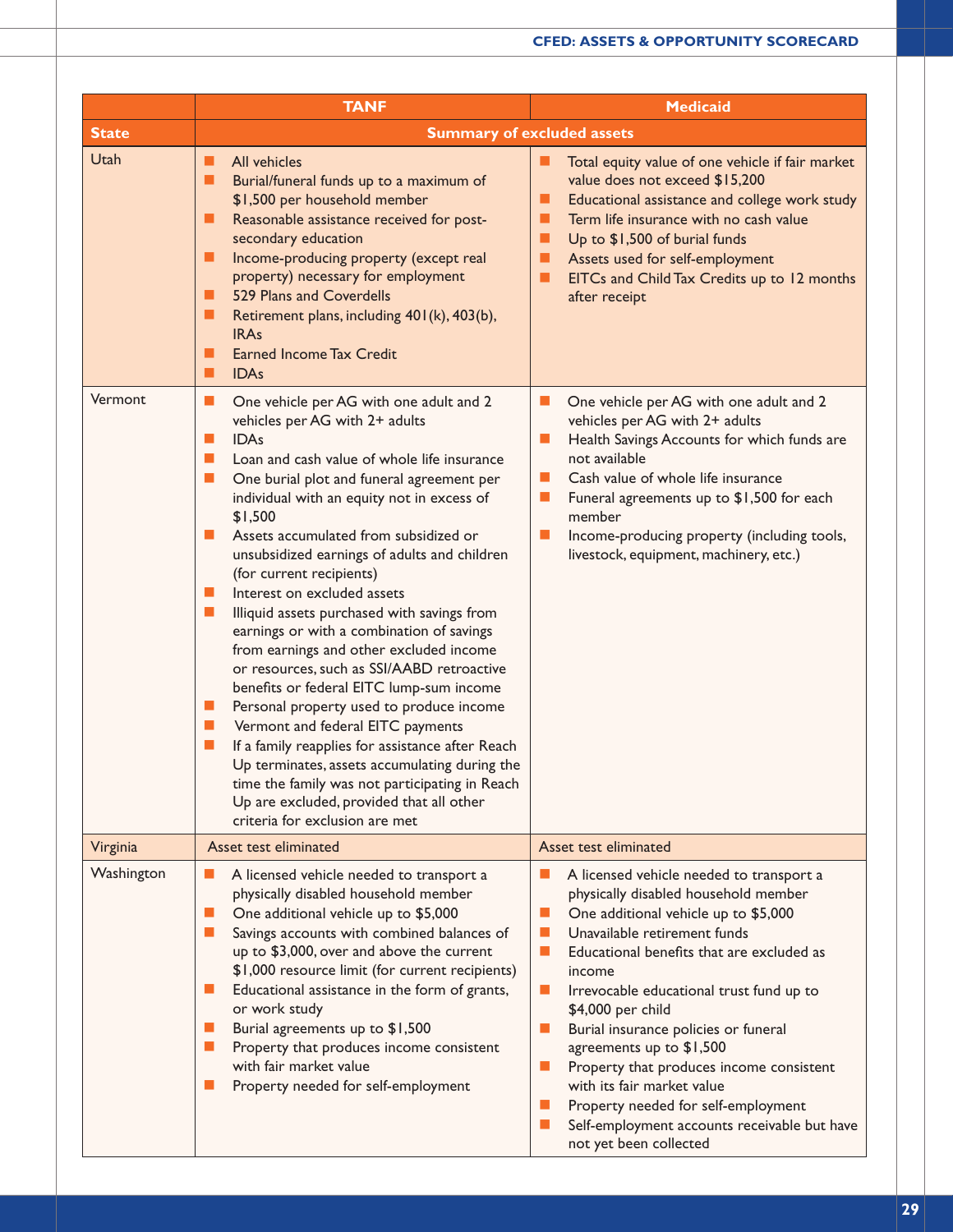|              | <b>TANF</b>                                                                                                                                                                                                                                                                                                                                                                                                                                                                                                                                                                                                                                                                                                                                                                                                                                                                                                                                                                                                                            | <b>Medicaid</b>                                                                                                                                                                                                                                                                                                                                                                                                                                                                                                                                                               |
|--------------|----------------------------------------------------------------------------------------------------------------------------------------------------------------------------------------------------------------------------------------------------------------------------------------------------------------------------------------------------------------------------------------------------------------------------------------------------------------------------------------------------------------------------------------------------------------------------------------------------------------------------------------------------------------------------------------------------------------------------------------------------------------------------------------------------------------------------------------------------------------------------------------------------------------------------------------------------------------------------------------------------------------------------------------|-------------------------------------------------------------------------------------------------------------------------------------------------------------------------------------------------------------------------------------------------------------------------------------------------------------------------------------------------------------------------------------------------------------------------------------------------------------------------------------------------------------------------------------------------------------------------------|
| <b>State</b> |                                                                                                                                                                                                                                                                                                                                                                                                                                                                                                                                                                                                                                                                                                                                                                                                                                                                                                                                                                                                                                        | <b>Summary of excluded assets</b>                                                                                                                                                                                                                                                                                                                                                                                                                                                                                                                                             |
| Utah         | All vehicles<br>ш<br>Burial/funeral funds up to a maximum of<br>ш<br>\$1,500 per household member<br>Reasonable assistance received for post-<br>ш<br>secondary education<br>Income-producing property (except real<br>ш<br>property) necessary for employment<br>529 Plans and Coverdells<br>. .<br>Retirement plans, including 401(k), 403(b),<br>ш<br><b>IRAs</b><br><b>Earned Income Tax Credit</b><br>ш<br><b>IDAs</b><br>П                                                                                                                                                                                                                                                                                                                                                                                                                                                                                                                                                                                                       | Total equity value of one vehicle if fair market<br>ш<br>value does not exceed \$15,200<br>Educational assistance and college work study<br>▄<br>Term life insurance with no cash value<br>▄<br>Up to \$1,500 of burial funds<br>ш<br>Assets used for self-employment<br>ш<br>EITCs and Child Tax Credits up to 12 months<br>after receipt                                                                                                                                                                                                                                    |
| Vermont      | $\blacksquare$<br>One vehicle per AG with one adult and 2<br>vehicles per AG with 2+ adults<br><b>IDAs</b><br>п<br>Loan and cash value of whole life insurance<br>$\blacksquare$<br>One burial plot and funeral agreement per<br><b>D</b><br>individual with an equity not in excess of<br>\$1,500<br>Assets accumulated from subsidized or<br>unsubsidized earnings of adults and children<br>(for current recipients)<br>Interest on excluded assets<br>ш<br>Illiquid assets purchased with savings from<br>ш<br>earnings or with a combination of savings<br>from earnings and other excluded income<br>or resources, such as SSI/AABD retroactive<br>benefits or federal EITC lump-sum income<br>Personal property used to produce income<br>ш<br>Vermont and federal EITC payments<br>ш<br>If a family reapplies for assistance after Reach<br>ш<br>Up terminates, assets accumulating during the<br>time the family was not participating in Reach<br>Up are excluded, provided that all other<br>criteria for exclusion are met | One vehicle per AG with one adult and 2<br>ш<br>vehicles per AG with 2+ adults<br>Health Savings Accounts for which funds are<br>ш<br>not available<br>Cash value of whole life insurance<br>ш<br>Funeral agreements up to \$1,500 for each<br>ш<br>member<br>Income-producing property (including tools,<br>ш<br>livestock, equipment, machinery, etc.)                                                                                                                                                                                                                      |
| Virginia     | Asset test eliminated                                                                                                                                                                                                                                                                                                                                                                                                                                                                                                                                                                                                                                                                                                                                                                                                                                                                                                                                                                                                                  | Asset test eliminated                                                                                                                                                                                                                                                                                                                                                                                                                                                                                                                                                         |
| Washington   | A licensed vehicle needed to transport a<br>ш<br>physically disabled household member<br>П<br>One additional vehicle up to \$5,000<br>Savings accounts with combined balances of<br>ш<br>up to \$3,000, over and above the current<br>\$1,000 resource limit (for current recipients)<br>Educational assistance in the form of grants,<br>ш<br>or work study<br>Burial agreements up to \$1,500<br>ш<br>Property that produces income consistent<br>ш<br>with fair market value<br>Property needed for self-employment<br>ш                                                                                                                                                                                                                                                                                                                                                                                                                                                                                                            | A licensed vehicle needed to transport a<br>physically disabled household member<br>One additional vehicle up to \$5,000<br>ш<br>Unavailable retirement funds<br>ш<br>Educational benefits that are excluded as<br>ш<br>income<br>Irrevocable educational trust fund up to<br>\$4,000 per child<br>Burial insurance policies or funeral<br>agreements up to \$1,500<br>Property that produces income consistent<br>ш<br>with its fair market value<br>Property needed for self-employment<br>ш<br>Self-employment accounts receivable but have<br>ш<br>not yet been collected |